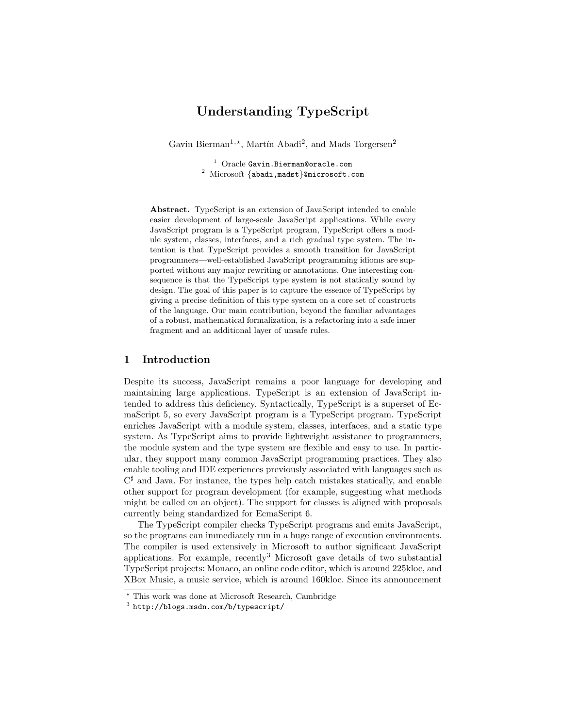# Understanding TypeScript

Gavin Bierman<sup>1,\*</sup>, Martín Abadi<sup>2</sup>, and Mads Torgersen<sup>2</sup>

<sup>1</sup> Oracle Gavin.Bierman@oracle.com <sup>2</sup> Microsoft {abadi,madst}@microsoft.com

Abstract. TypeScript is an extension of JavaScript intended to enable easier development of large-scale JavaScript applications. While every JavaScript program is a TypeScript program, TypeScript offers a module system, classes, interfaces, and a rich gradual type system. The intention is that TypeScript provides a smooth transition for JavaScript programmers—well-established JavaScript programming idioms are supported without any major rewriting or annotations. One interesting consequence is that the TypeScript type system is not statically sound by design. The goal of this paper is to capture the essence of TypeScript by giving a precise definition of this type system on a core set of constructs of the language. Our main contribution, beyond the familiar advantages of a robust, mathematical formalization, is a refactoring into a safe inner fragment and an additional layer of unsafe rules.

### 1 Introduction

Despite its success, JavaScript remains a poor language for developing and maintaining large applications. TypeScript is an extension of JavaScript intended to address this deficiency. Syntactically, TypeScript is a superset of EcmaScript 5, so every JavaScript program is a TypeScript program. TypeScript enriches JavaScript with a module system, classes, interfaces, and a static type system. As TypeScript aims to provide lightweight assistance to programmers, the module system and the type system are flexible and easy to use. In particular, they support many common JavaScript programming practices. They also enable tooling and IDE experiences previously associated with languages such as  $C^{\sharp}$  and Java. For instance, the types help catch mistakes statically, and enable other support for program development (for example, suggesting what methods might be called on an object). The support for classes is aligned with proposals currently being standardized for EcmaScript 6.

The TypeScript compiler checks TypeScript programs and emits JavaScript, so the programs can immediately run in a huge range of execution environments. The compiler is used extensively in Microsoft to author significant JavaScript applications. For example, recently<sup>3</sup> Microsoft gave details of two substantial TypeScript projects: Monaco, an online code editor, which is around 225kloc, and XBox Music, a music service, which is around 160kloc. Since its announcement

<sup>?</sup> This work was done at Microsoft Research, Cambridge

<sup>3</sup> http://blogs.msdn.com/b/typescript/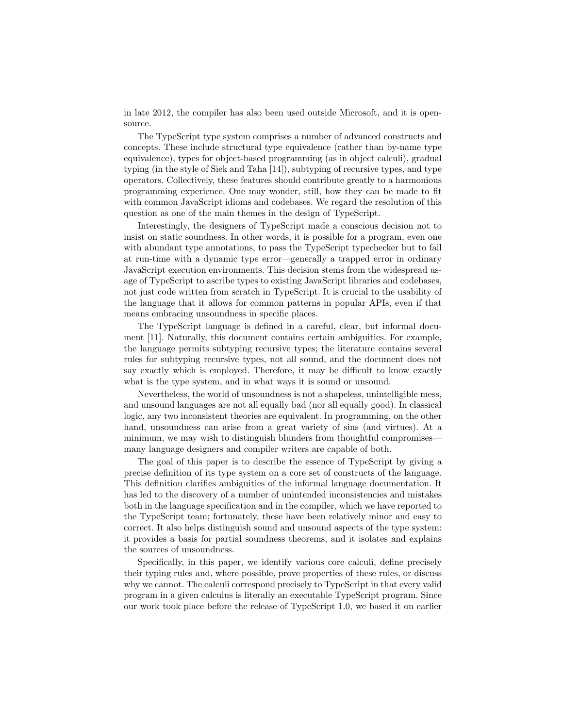in late 2012, the compiler has also been used outside Microsoft, and it is opensource.

The TypeScript type system comprises a number of advanced constructs and concepts. These include structural type equivalence (rather than by-name type equivalence), types for object-based programming (as in object calculi), gradual typing (in the style of Siek and Taha [14]), subtyping of recursive types, and type operators. Collectively, these features should contribute greatly to a harmonious programming experience. One may wonder, still, how they can be made to fit with common JavaScript idioms and codebases. We regard the resolution of this question as one of the main themes in the design of TypeScript.

Interestingly, the designers of TypeScript made a conscious decision not to insist on static soundness. In other words, it is possible for a program, even one with abundant type annotations, to pass the TypeScript typechecker but to fail at run-time with a dynamic type error—generally a trapped error in ordinary JavaScript execution environments. This decision stems from the widespread usage of TypeScript to ascribe types to existing JavaScript libraries and codebases, not just code written from scratch in TypeScript. It is crucial to the usability of the language that it allows for common patterns in popular APIs, even if that means embracing unsoundness in specific places.

The TypeScript language is defined in a careful, clear, but informal document [11]. Naturally, this document contains certain ambiguities. For example, the language permits subtyping recursive types; the literature contains several rules for subtyping recursive types, not all sound, and the document does not say exactly which is employed. Therefore, it may be difficult to know exactly what is the type system, and in what ways it is sound or unsound.

Nevertheless, the world of unsoundness is not a shapeless, unintelligible mess, and unsound languages are not all equally bad (nor all equally good). In classical logic, any two inconsistent theories are equivalent. In programming, on the other hand, unsoundness can arise from a great variety of sins (and virtues). At a minimum, we may wish to distinguish blunders from thoughtful compromises many language designers and compiler writers are capable of both.

The goal of this paper is to describe the essence of TypeScript by giving a precise definition of its type system on a core set of constructs of the language. This definition clarifies ambiguities of the informal language documentation. It has led to the discovery of a number of unintended inconsistencies and mistakes both in the language specification and in the compiler, which we have reported to the TypeScript team; fortunately, these have been relatively minor and easy to correct. It also helps distinguish sound and unsound aspects of the type system: it provides a basis for partial soundness theorems, and it isolates and explains the sources of unsoundness.

Specifically, in this paper, we identify various core calculi, define precisely their typing rules and, where possible, prove properties of these rules, or discuss why we cannot. The calculi correspond precisely to TypeScript in that every valid program in a given calculus is literally an executable TypeScript program. Since our work took place before the release of TypeScript 1.0, we based it on earlier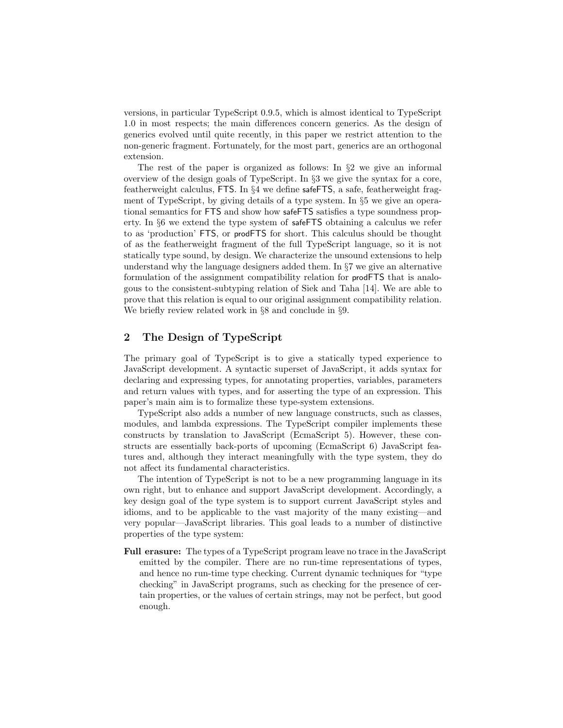versions, in particular TypeScript 0.9.5, which is almost identical to TypeScript 1.0 in most respects; the main differences concern generics. As the design of generics evolved until quite recently, in this paper we restrict attention to the non-generic fragment. Fortunately, for the most part, generics are an orthogonal extension.

The rest of the paper is organized as follows: In  $\S2$  we give an informal overview of the design goals of TypeScript. In §3 we give the syntax for a core, featherweight calculus, FTS. In §4 we define safeFTS, a safe, featherweight fragment of TypeScript, by giving details of a type system. In §5 we give an operational semantics for FTS and show how safeFTS satisfies a type soundness property. In §6 we extend the type system of safeFTS obtaining a calculus we refer to as 'production' FTS, or prodFTS for short. This calculus should be thought of as the featherweight fragment of the full TypeScript language, so it is not statically type sound, by design. We characterize the unsound extensions to help understand why the language designers added them. In §7 we give an alternative formulation of the assignment compatibility relation for prodFTS that is analogous to the consistent-subtyping relation of Siek and Taha [14]. We are able to prove that this relation is equal to our original assignment compatibility relation. We briefly review related work in §8 and conclude in §9.

# 2 The Design of TypeScript

The primary goal of TypeScript is to give a statically typed experience to JavaScript development. A syntactic superset of JavaScript, it adds syntax for declaring and expressing types, for annotating properties, variables, parameters and return values with types, and for asserting the type of an expression. This paper's main aim is to formalize these type-system extensions.

TypeScript also adds a number of new language constructs, such as classes, modules, and lambda expressions. The TypeScript compiler implements these constructs by translation to JavaScript (EcmaScript 5). However, these constructs are essentially back-ports of upcoming (EcmaScript 6) JavaScript features and, although they interact meaningfully with the type system, they do not affect its fundamental characteristics.

The intention of TypeScript is not to be a new programming language in its own right, but to enhance and support JavaScript development. Accordingly, a key design goal of the type system is to support current JavaScript styles and idioms, and to be applicable to the vast majority of the many existing—and very popular—JavaScript libraries. This goal leads to a number of distinctive properties of the type system:

Full erasure: The types of a TypeScript program leave no trace in the JavaScript emitted by the compiler. There are no run-time representations of types, and hence no run-time type checking. Current dynamic techniques for "type checking" in JavaScript programs, such as checking for the presence of certain properties, or the values of certain strings, may not be perfect, but good enough.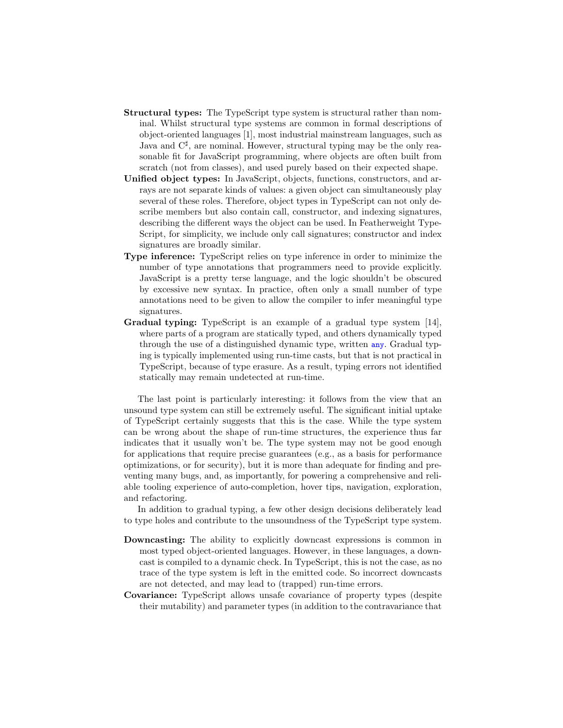- Structural types: The TypeScript type system is structural rather than nominal. Whilst structural type systems are common in formal descriptions of object-oriented languages [1], most industrial mainstream languages, such as Java and  $C^{\sharp}$ , are nominal. However, structural typing may be the only reasonable fit for JavaScript programming, where objects are often built from scratch (not from classes), and used purely based on their expected shape.
- Unified object types: In JavaScript, objects, functions, constructors, and arrays are not separate kinds of values: a given object can simultaneously play several of these roles. Therefore, object types in TypeScript can not only describe members but also contain call, constructor, and indexing signatures, describing the different ways the object can be used. In Featherweight Type-Script, for simplicity, we include only call signatures; constructor and index signatures are broadly similar.
- Type inference: TypeScript relies on type inference in order to minimize the number of type annotations that programmers need to provide explicitly. JavaScript is a pretty terse language, and the logic shouldn't be obscured by excessive new syntax. In practice, often only a small number of type annotations need to be given to allow the compiler to infer meaningful type signatures.
- Gradual typing: TypeScript is an example of a gradual type system [14], where parts of a program are statically typed, and others dynamically typed through the use of a distinguished dynamic type, written any. Gradual typing is typically implemented using run-time casts, but that is not practical in TypeScript, because of type erasure. As a result, typing errors not identified statically may remain undetected at run-time.

The last point is particularly interesting: it follows from the view that an unsound type system can still be extremely useful. The significant initial uptake of TypeScript certainly suggests that this is the case. While the type system can be wrong about the shape of run-time structures, the experience thus far indicates that it usually won't be. The type system may not be good enough for applications that require precise guarantees (e.g., as a basis for performance optimizations, or for security), but it is more than adequate for finding and preventing many bugs, and, as importantly, for powering a comprehensive and reliable tooling experience of auto-completion, hover tips, navigation, exploration, and refactoring.

In addition to gradual typing, a few other design decisions deliberately lead to type holes and contribute to the unsoundness of the TypeScript type system.

- Downcasting: The ability to explicitly downcast expressions is common in most typed object-oriented languages. However, in these languages, a downcast is compiled to a dynamic check. In TypeScript, this is not the case, as no trace of the type system is left in the emitted code. So incorrect downcasts are not detected, and may lead to (trapped) run-time errors.
- Covariance: TypeScript allows unsafe covariance of property types (despite their mutability) and parameter types (in addition to the contravariance that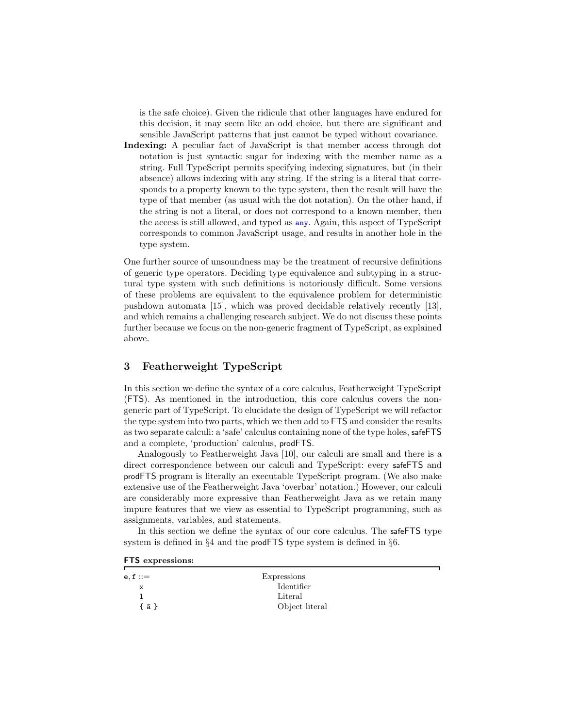is the safe choice). Given the ridicule that other languages have endured for this decision, it may seem like an odd choice, but there are significant and sensible JavaScript patterns that just cannot be typed without covariance.

Indexing: A peculiar fact of JavaScript is that member access through dot notation is just syntactic sugar for indexing with the member name as a string. Full TypeScript permits specifying indexing signatures, but (in their absence) allows indexing with any string. If the string is a literal that corresponds to a property known to the type system, then the result will have the type of that member (as usual with the dot notation). On the other hand, if the string is not a literal, or does not correspond to a known member, then the access is still allowed, and typed as any. Again, this aspect of TypeScript corresponds to common JavaScript usage, and results in another hole in the type system.

One further source of unsoundness may be the treatment of recursive definitions of generic type operators. Deciding type equivalence and subtyping in a structural type system with such definitions is notoriously difficult. Some versions of these problems are equivalent to the equivalence problem for deterministic pushdown automata [15], which was proved decidable relatively recently [13], and which remains a challenging research subject. We do not discuss these points further because we focus on the non-generic fragment of TypeScript, as explained above.

# 3 Featherweight TypeScript

In this section we define the syntax of a core calculus, Featherweight TypeScript (FTS). As mentioned in the introduction, this core calculus covers the nongeneric part of TypeScript. To elucidate the design of TypeScript we will refactor the type system into two parts, which we then add to FTS and consider the results as two separate calculi: a 'safe' calculus containing none of the type holes, safeFTS and a complete, 'production' calculus, prodFTS.

Analogously to Featherweight Java [10], our calculi are small and there is a direct correspondence between our calculi and TypeScript: every safeFTS and prodFTS program is literally an executable TypeScript program. (We also make extensive use of the Featherweight Java 'overbar' notation.) However, our calculi are considerably more expressive than Featherweight Java as we retain many impure features that we view as essential to TypeScript programming, such as assignments, variables, and statements.

In this section we define the syntax of our core calculus. The safeFTS type system is defined in §4 and the prodFTS type system is defined in §6.

| FTS expressions. |
|------------------|
|                  |

| $e, f ::=$     | Expressions    |  |
|----------------|----------------|--|
| х              | Identifier     |  |
|                | Literal        |  |
| $\overline{a}$ | Object literal |  |
|                |                |  |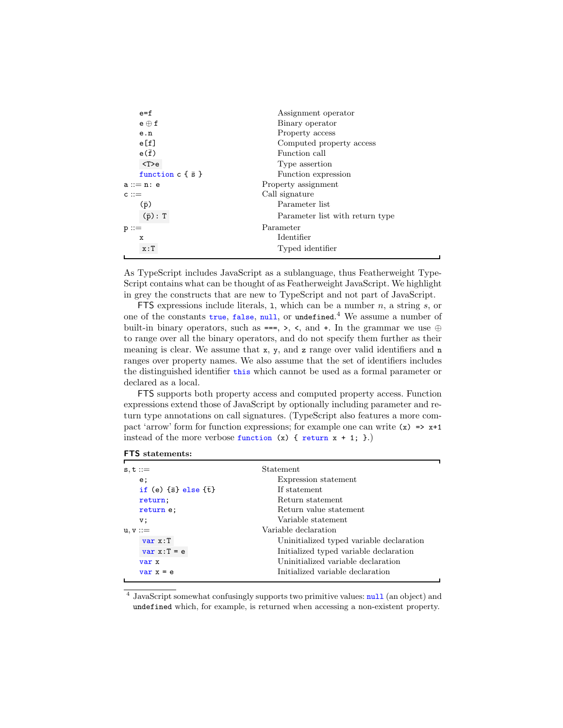| $e = f$                    | Assignment operator             |  |
|----------------------------|---------------------------------|--|
| $e \oplus f$               | Binary operator                 |  |
| e.n                        | Property access                 |  |
| e[f]                       | Computed property access        |  |
| $e(\overline{f})$          | Function call                   |  |
| $T>e$                      | Type assertion                  |  |
| function $c \{ \bar{s} \}$ | Function expression             |  |
| $a ::= n: e$               | Property assignment             |  |
| $c ::=$                    | Call signature                  |  |
| $(\bar{p})$                | Parameter list                  |  |
| $(\bar{p}):T$              | Parameter list with return type |  |
| $p ::=$                    | Parameter                       |  |
| X                          | Identifier                      |  |
| x:T                        | Typed identifier                |  |
|                            |                                 |  |

As TypeScript includes JavaScript as a sublanguage, thus Featherweight Type-Script contains what can be thought of as Featherweight JavaScript. We highlight in grey the constructs that are new to TypeScript and not part of JavaScript.

FTS expressions include literals, 1, which can be a number  $n$ , a string  $s$ , or one of the constants true, false, null, or undefined.<sup>4</sup> We assume a number of built-in binary operators, such as  $==, \ge, \le,$  and  $\overline{\cdot}$ . In the grammar we use  $\oplus$ to range over all the binary operators, and do not specify them further as their meaning is clear. We assume that  $x$ ,  $y$ , and  $z$  range over valid identifiers and  $n$ ranges over property names. We also assume that the set of identifiers includes the distinguished identifier this which cannot be used as a formal parameter or declared as a local.

FTS supports both property access and computed property access. Function expressions extend those of JavaScript by optionally including parameter and return type annotations on call signatures. (TypeScript also features a more compact 'arrow' form for function expressions; for example one can write  $(x) \Rightarrow x+1$ instead of the more verbose function  $(x) \{ return x + 1; \}$ .

| $s, t ::=$                              | Statement                                |
|-----------------------------------------|------------------------------------------|
| е;                                      | Expression statement                     |
| if (e) $\{\bar{s}\}$ else $\{\bar{t}\}$ | If statement                             |
| return;                                 | Return statement                         |
| return e;                               | Return value statement                   |
| v;                                      | Variable statement                       |
| $u, v ::=$                              | Variable declaration                     |
| var x:T                                 | Uninitialized typed variable declaration |
| $var x: T = e$                          | Initialized typed variable declaration   |
| var x                                   | Uninitialized variable declaration       |
| $var x = e$                             | Initialized variable declaration         |
|                                         |                                          |

FTS statements:

<sup>4</sup> JavaScript somewhat confusingly supports two primitive values: null (an object) and undefined which, for example, is returned when accessing a non-existent property.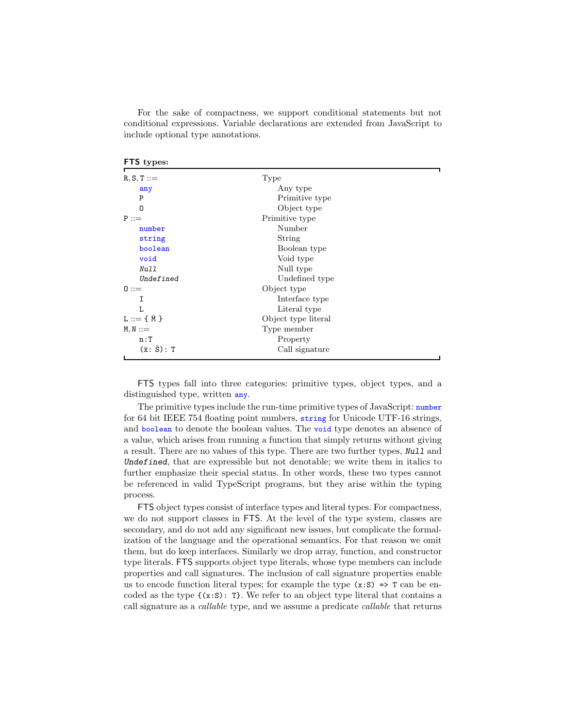For the sake of compactness, we support conditional statements but not conditional expressions. Variable declarations are extended from JavaScript to include optional type annotations.

| $R, S, T ::=$              | Type                |  |
|----------------------------|---------------------|--|
| any                        | Any type            |  |
| $\mathbf P$                | Primitive type      |  |
| 0                          | Object type         |  |
| $P ::=$                    | Primitive type      |  |
| number                     | Number              |  |
| string                     | String              |  |
| boolean                    | Boolean type        |  |
| void                       | Void type           |  |
| Null                       | Null type           |  |
| Undefined                  | Undefined type      |  |
| $0 ::=$                    | Object type         |  |
| I                          | Interface type      |  |
| L                          | Literal type        |  |
| $L ::= \{ \overline{M} \}$ | Object type literal |  |
| $M, N ::=$                 | Type member         |  |
| n: T                       | Property            |  |
| $(\bar{x}: \bar{S}): T$    | Call signature      |  |
|                            |                     |  |

FTS types:

FTS types fall into three categories: primitive types, object types, and a distinguished type, written any.

The primitive types include the run-time primitive types of JavaScript: number for 64 bit IEEE 754 floating point numbers, string for Unicode UTF-16 strings, and boolean to denote the boolean values. The void type denotes an absence of a value, which arises from running a function that simply returns without giving a result. There are no values of this type. There are two further types, Null and Undefined, that are expressible but not denotable; we write them in italics to further emphasize their special status. In other words, these two types cannot be referenced in valid TypeScript programs, but they arise within the typing process.

FTS object types consist of interface types and literal types. For compactness, we do not support classes in FTS. At the level of the type system, classes are secondary, and do not add any significant new issues, but complicate the formalization of the language and the operational semantics. For that reason we omit them, but do keep interfaces. Similarly we drop array, function, and constructor type literals. FTS supports object type literals, whose type members can include properties and call signatures. The inclusion of call signature properties enable us to encode function literal types; for example the type  $(x:S) \Rightarrow T$  can be encoded as the type  $\{(x:S): T\}$ . We refer to an object type literal that contains a call signature as a callable type, and we assume a predicate callable that returns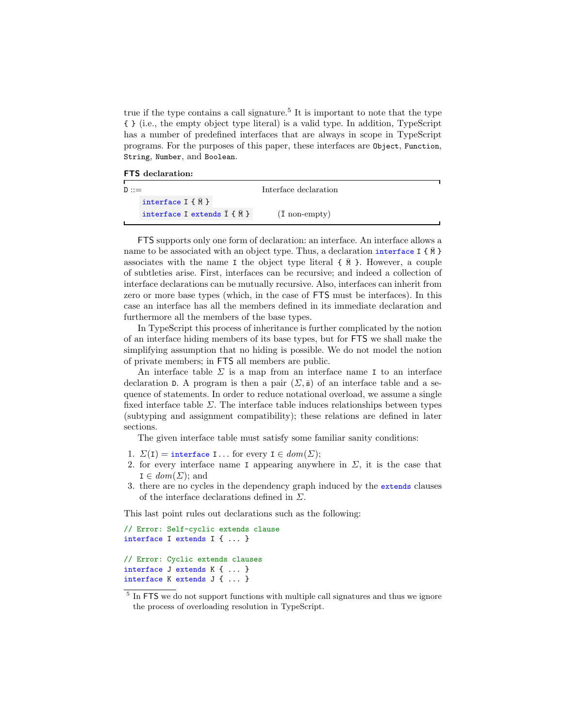true if the type contains a call signature.<sup>5</sup> It is important to note that the type { } (i.e., the empty object type literal) is a valid type. In addition, TypeScript has a number of predefined interfaces that are always in scope in TypeScript programs. For the purposes of this paper, these interfaces are Object, Function, String, Number, and Boolean.

FTS declaration:

| $D ::=$ |                                             | Interface declaration |
|---------|---------------------------------------------|-----------------------|
|         | interface $I \{ \overline{M} \}$            |                       |
|         | interface I extends $\bar{I} \{ \bar{M} \}$ | $(I$ non-empty)       |

FTS supports only one form of declaration: an interface. An interface allows a name to be associated with an object type. Thus, a declaration interface I { $\overline{M}$  } associates with the name I the object type literal  $\{\bar{M}\}$ . However, a couple of subtleties arise. First, interfaces can be recursive; and indeed a collection of interface declarations can be mutually recursive. Also, interfaces can inherit from zero or more base types (which, in the case of FTS must be interfaces). In this case an interface has all the members defined in its immediate declaration and furthermore all the members of the base types.

In TypeScript this process of inheritance is further complicated by the notion of an interface hiding members of its base types, but for FTS we shall make the simplifying assumption that no hiding is possible. We do not model the notion of private members; in FTS all members are public.

An interface table  $\Sigma$  is a map from an interface name I to an interface declaration D. A program is then a pair  $(\Sigma, \bar{s})$  of an interface table and a sequence of statements. In order to reduce notational overload, we assume a single fixed interface table  $\Sigma$ . The interface table induces relationships between types (subtyping and assignment compatibility); these relations are defined in later sections.

The given interface table must satisfy some familiar sanity conditions:

- 1.  $\Sigma(\mathbf{I}) = \text{interface } \mathbf{I} \dots \text{ for every } \mathbf{I} \in \text{dom}(\Sigma);$
- 2. for every interface name I appearing anywhere in  $\Sigma$ , it is the case that  $\mathbf{I} \in dom(\Sigma)$ ; and
- 3. there are no cycles in the dependency graph induced by the extends clauses of the interface declarations defined in  $\Sigma$ .

This last point rules out declarations such as the following:

```
// Error: Self-cyclic extends clause
interface I extends I { ... }
// Error: Cyclic extends clauses
interface J extends K { ... }
interface K extends J { ... }
```
<sup>&</sup>lt;sup>5</sup> In FTS we do not support functions with multiple call signatures and thus we ignore the process of overloading resolution in TypeScript.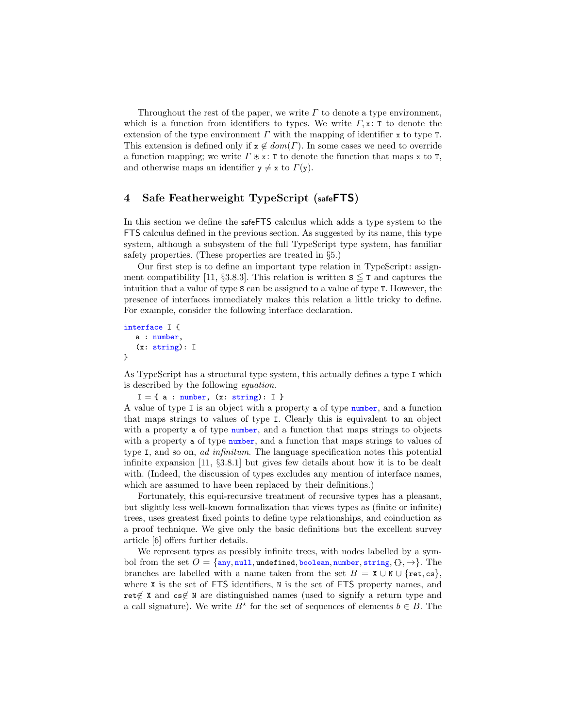Throughout the rest of the paper, we write  $\Gamma$  to denote a type environment, which is a function from identifiers to types. We write  $\Gamma, \mathbf{x}$ : T to denote the extension of the type environment  $\Gamma$  with the mapping of identifier x to type T. This extension is defined only if  $x \notin dom(\Gamma)$ . In some cases we need to override a function mapping; we write  $\Gamma \oplus x$ : T to denote the function that maps x to T, and otherwise maps an identifier  $y \neq x$  to  $\Gamma(y)$ .

# 4 Safe Featherweight TypeScript (safeFTS)

In this section we define the safeFTS calculus which adds a type system to the FTS calculus defined in the previous section. As suggested by its name, this type system, although a subsystem of the full TypeScript type system, has familiar safety properties. (These properties are treated in §5.)

Our first step is to define an important type relation in TypeScript: assignment compatibility [11, §3.8.3]. This relation is written  $s \leq \tau$  and captures the intuition that a value of type S can be assigned to a value of type T. However, the presence of interfaces immediately makes this relation a little tricky to define. For example, consider the following interface declaration.

```
interface I {
  a : number,
   (x: string): I}
```
As TypeScript has a structural type system, this actually defines a type I which is described by the following equation.

```
I = \{ a : number, (x: string): I \}
```
A value of type I is an object with a property a of type number, and a function that maps strings to values of type I. Clearly this is equivalent to an object with a property a of type number, and a function that maps strings to objects with a property a of type number, and a function that maps strings to values of type I, and so on, *ad infinitum*. The language specification notes this potential infinite expansion [11, §3.8.1] but gives few details about how it is to be dealt with. (Indeed, the discussion of types excludes any mention of interface names, which are assumed to have been replaced by their definitions.)

Fortunately, this equi-recursive treatment of recursive types has a pleasant, but slightly less well-known formalization that views types as (finite or infinite) trees, uses greatest fixed points to define type relationships, and coinduction as a proof technique. We give only the basic definitions but the excellent survey article [6] offers further details.

We represent types as possibly infinite trees, with nodes labelled by a symbol from the set  $O = \{\text{any}, \text{null}, \text{undefined}, \text{boolean}, \text{number}, \text{string}, \{\}, \rightarrow\}.$  The branches are labelled with a name taken from the set  $B = X \cup N \cup \{ret, cs\},\$ where **x** is the set of FTS identifiers, N is the set of FTS property names, and ret∉ X and cs∉ N are distinguished names (used to signify a return type and a call signature). We write  $B^*$  for the set of sequences of elements  $b \in B$ . The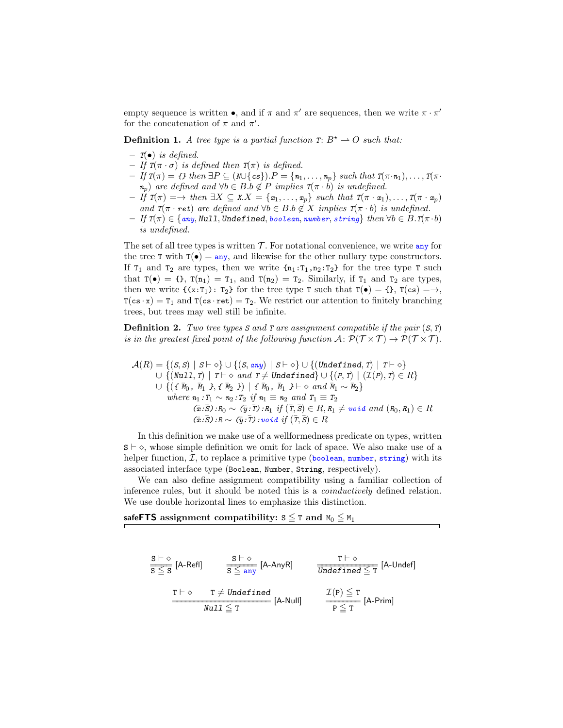empty sequence is written  $\bullet$ , and if  $\pi$  and  $\pi'$  are sequences, then we write  $\pi \cdot \pi'$ for the concatenation of  $\pi$  and  $\pi'$ .

**Definition 1.** A tree type is a partial function  $T: B^* \to O$  such that:

- $T(\bullet)$  is defined.
- If  $T(\pi \cdot \sigma)$  is defined then  $T(\pi)$  is defined.
- $-If T(\pi) = \{f \text{ then } \exists P \subseteq (N \cup \{cs\}).P = \{n_1, \ldots, n_p\} \text{ such that } T(\pi \cdot n_1), \ldots, T(\pi \cdot n_p) = \{n_1, \ldots, n_p\}$  $n_p$ ) are defined and  $\forall b \in B.b \notin P$  implies  $T(\pi \cdot b)$  is undefined.
- $-I \circ f \circ f(\pi) \implies \text{then } \exists X \subseteq X \times X = \{x_1, \ldots, x_p\} \text{ such that } \tau(\pi \cdot x_1), \ldots, \tau(\pi \cdot x_p)$ and  $T(\pi \cdot ret)$  are defined and  $\forall b \in B.b \notin X$  implies  $T(\pi \cdot b)$  is undefined.
- If T(π) ∈ {any, Null, Undefined, boolean, number, string} then ∀b ∈ B.T(π·b) is undefined.

The set of all tree types is written  $\mathcal T$ . For notational convenience, we write any for the tree T with  $T(\bullet) = \frac{any}{n}$ , and likewise for the other nullary type constructors. If  $T_1$  and  $T_2$  are types, then we write  $\{n_1:T_1,n_2:T_2\}$  for the tree type T such that  $T(\bullet) = \{$ ,  $T(n_1) = T_1$ , and  $T(n_2) = T_2$ . Similarly, if  $T_1$  and  $T_2$  are types, then we write  $\{(x:T_1): T_2\}$  for the tree type T such that  $T(\bullet) = \{\}, T(\text{cs}) = \rightarrow$ ,  $T(\mathbf{cs} \cdot \mathbf{x}) = T_1$  and  $T(\mathbf{cs} \cdot \mathbf{ret}) = T_2$ . We restrict our attention to finitely branching trees, but trees may well still be infinite.

**Definition 2.** Two tree types  $S$  and  $T$  are assignment compatible if the pair  $(S, T)$ is in the greatest fixed point of the following function  $\mathcal{A} \colon \mathcal{P}(\mathcal{T} \times \mathcal{T}) \to \mathcal{P}(\mathcal{T} \times \mathcal{T})$ .

$$
\mathcal{A}(R) = \{(S, S) \mid S \vdash \diamond\} \cup \{(S, any) \mid S \vdash \diamond\} \cup \{(Underined, T) \mid T \vdash \diamond\} \cup \{(Null, T) \mid T \vdash \diamond \text{ and } T \neq \text{Undefined}\} \cup \{(P, T) \mid (\mathcal{I}(P), T) \in R\} \cup \{(\{ \overline{N}_0, \overline{N}_1 \}, \{ \overline{N}_2 \} \}) \mid \{ \overline{N}_0, \overline{N}_1 \} \vdash \diamond \text{ and } \overline{N}_1 \sim \overline{N}_2 \} where \ n_1 : T_1 \sim n_2 : T_2 \text{ if } n_1 \equiv n_2 \text{ and } T_1 \equiv T_2 (\overline{x} : \overline{S}) : R_0 \sim (\overline{y} : \overline{T}) : R_1 \text{ if } (\overline{T}, \overline{S}) \in R, R_1 \neq \text{void and } (R_0, R_1) \in R (\overline{x} : \overline{S}) : R \sim (\overline{y} : \overline{T}) : \text{void if } (\overline{T}, \overline{S}) \in R
$$

In this definition we make use of a wellformedness predicate on types, written  $S \vdash \diamond$ , whose simple definition we omit for lack of space. We also make use of a helper function,  $I$ , to replace a primitive type (boolean, number, string) with its associated interface type (Boolean, Number, String, respectively).

We can also define assignment compatibility using a familiar collection of inference rules, but it should be noted this is a coinductively defined relation. We use double horizontal lines to emphasize this distinction.

safe**FTS** assignment compatibility:  $S \leq T$  and  $M_0 \leq M_1$ 

$$
\begin{array}{ll}\n\underline{s \vdash \diamond}_{S \leq S} \text{ [A-Ref] } & \xrightarrow{S \vdash \diamond}_{S \leq \text{any}} \text{[A-AnyR]} & \xrightarrow{T \vdash \diamond}_{\text{Underined} \leq T} \text{[A-Under]} \\
\underline{\text{T} \vdash \diamond} & \text{T} \neq \text{Underined} \\
\underline{\text{T} \vdash \diamond} & \text{T} \neq \text{Underined} \\
\underline{\text{Null} \leq T}} & \text{[A-Null]} & \xrightarrow{\mathcal{I}(P) \leq T} \text{[A-Prim]} \\
\end{array}
$$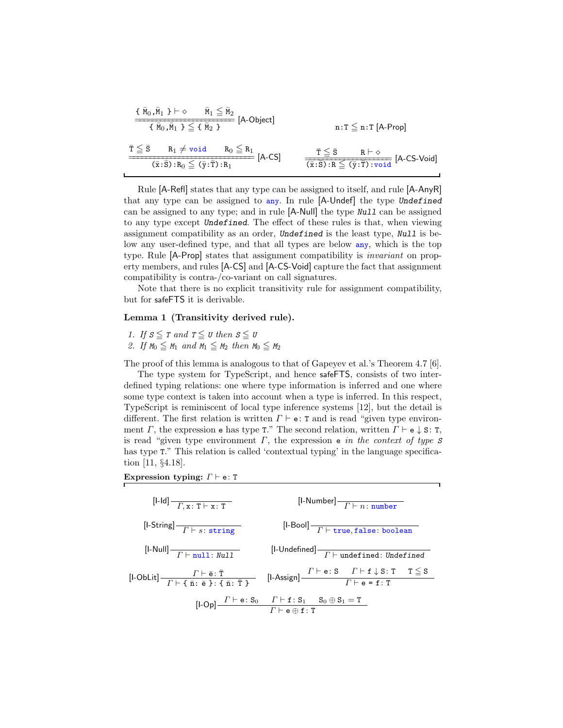$$
\begin{array}{ll}\frac{\{\ \overline{N}_0,\overline{M}_1\ \}\vdash \diamond \quad \quad \overline{N}_1\leqq \overline{M}_2}{\{\ \overline{N}_0,\overline{M}_1\ \}\leqq \{\ \overline{M}_2\ \} }\end{array} \quad\quad[\text{A-Object}] \qquad \qquad \begin{array}{ll} \text{n:} \text{T} \leqq \text{n:} \text{T} \ [\text{A-Prop}] \\\\ \text{n:} \text{T} \leqq \text{n:} \text{T} \ [\text{A-Prop}] \\\\ \end{array}
$$

Rule [A-Refl] states that any type can be assigned to itself, and rule [A-AnyR] that any type can be assigned to any. In rule [A-Undef] the type Undefined can be assigned to any type; and in rule [A-Null] the type Null can be assigned to any type except Undefined. The effect of these rules is that, when viewing assignment compatibility as an order, Undefined is the least type, Null is below any user-defined type, and that all types are below any, which is the top type. Rule [A-Prop] states that assignment compatibility is invariant on property members, and rules [A-CS] and [A-CS-Void] capture the fact that assignment compatibility is contra-/co-variant on call signatures.

Note that there is no explicit transitivity rule for assignment compatibility, but for safeFTS it is derivable.

### Lemma 1 (Transitivity derived rule).

- 1. If  $s \leq r$  and  $r \leq v$  then  $s \leq v$
- 2. If  $M_0 \leq M_1$  and  $M_1 \leq M_2$  then  $M_0 \leq M_2$

The proof of this lemma is analogous to that of Gapeyev et al.'s Theorem 4.7 [6].

The type system for TypeScript, and hence safeFTS, consists of two interdefined typing relations: one where type information is inferred and one where some type context is taken into account when a type is inferred. In this respect, TypeScript is reminiscent of local type inference systems [12], but the detail is different. The first relation is written  $\Gamma \vdash e: \tau$  and is read "given type environment  $\Gamma$ , the expression e has type  $\mathsf{T}$ ." The second relation, written  $\Gamma \vdash e \downarrow s$ : T, is read "given type environment  $\Gamma$ , the expression e in the context of type  $S$ has type T." This relation is called 'contextual typing' in the language specification [11, §4.18].

Expression typing:  $\Gamma \vdash e : T$ 

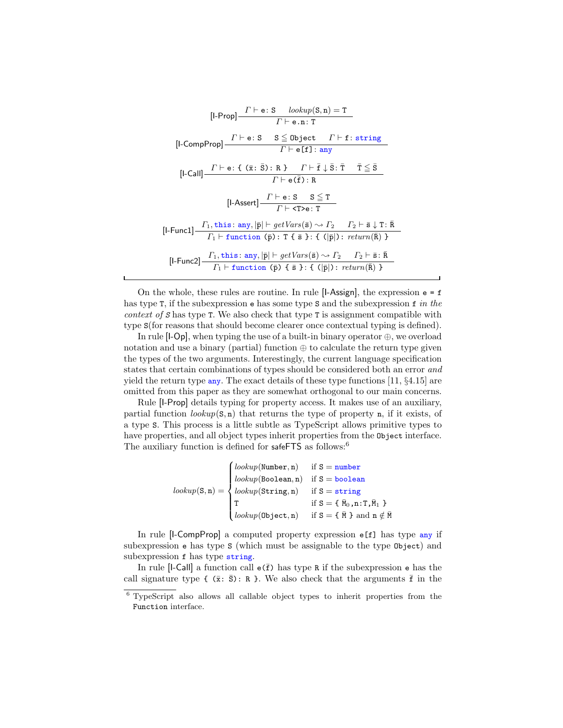| $[1-\mathsf{Prop}] \frac{\Gamma \vdash \mathsf{e} : \mathsf{S} \quad \mathit{lookup}(\mathsf{S}, \mathsf{n}) = \mathsf{T}}{\Gamma \vdash \mathsf{e} \cdot \mathsf{n} : \mathsf{T}}$                                                                                                                                             |
|---------------------------------------------------------------------------------------------------------------------------------------------------------------------------------------------------------------------------------------------------------------------------------------------------------------------------------|
| [I-CompProp] $\frac{\Gamma \vdash e : S \quad S \leq 0 \text{bject} \quad \Gamma \vdash f : \text{string}}{\Gamma \vdash e[f] : \text{any}}$                                                                                                                                                                                    |
| $\text{[I-Call]} \frac{\Gamma \vdash \mathsf{e} \colon \{ (\bar{\mathbf{x}} \colon \bar{\mathbf{S}}) \colon \mathsf{R} \} \quad \Gamma \vdash \bar{\mathbf{f}} \downarrow \bar{\mathbf{S}} \colon \bar{\mathbf{T}} \quad \bar{\mathbf{T}} \leq \bar{\mathbf{S}}}{\Gamma \vdash \mathsf{e}(\bar{\mathbf{f}}) \colon \mathsf{R}}$ |
| [I-Assert] $\frac{\Gamma \vdash e : S \quad S \leq T}{\Gamma \vdash \leq T \geq e \cdot T}$                                                                                                                                                                                                                                     |
| [I-Func1] $\frac{\Gamma_1, \text{this: any},  \bar{p}  \vdash getVars(\bar{s}) \rightsquigarrow \Gamma_2 \qquad \Gamma_2 \vdash \bar{s} \downarrow \bar{\Gamma} : \bar{R}}{\Gamma_1 \vdash function (\bar{p}) : \bar{T} \{ \bar{s} \} : \{ (\bar{p} ) : return(\bar{R}) \}}$                                                    |
| [I-Func2] $\frac{\Gamma_1, \text{this: any},  \bar{p}  \vdash getVars(\bar{s}) \rightsquigarrow \Gamma_2 \qquad \Gamma_2 \vdash \bar{s}: \bar{R}}{\Gamma_1 \vdash function (\bar{p}) \{ \bar{s} \} : \{ ( \bar{p} ): return(\bar{R}) \}}$                                                                                       |

On the whole, these rules are routine. In rule  $[1-Assign]$ , the expression  $e = f$ has type  $T$ , if the subexpression  $e$  has some type  $S$  and the subexpression  $f$  in the context of S has type T. We also check that type T is assignment compatible with type S(for reasons that should become clearer once contextual typing is defined).

In rule  $[I-Op]$ , when typing the use of a built-in binary operator  $\oplus$ , we overload notation and use a binary (partial) function ⊕ to calculate the return type given the types of the two arguments. Interestingly, the current language specification states that certain combinations of types should be considered both an error and yield the return type  $\frac{any}{any}$ . The exact details of these type functions [11, §4.15] are omitted from this paper as they are somewhat orthogonal to our main concerns.

Rule [I-Prop] details typing for property access. It makes use of an auxiliary, partial function  $\text{lookup}(S, n)$  that returns the type of property n, if it exists, of a type S. This process is a little subtle as TypeScript allows primitive types to have properties, and all object types inherit properties from the Object interface. The auxiliary function is defined for safeFTS as follows:<sup>6</sup>

> $lookup(S, n) =$  $\sqrt{ }$  $\int$  $\overline{\mathcal{L}}$  $lookup(\texttt{Number}, \texttt{n})$  if  $S = number$  $\mathit{lookup}( \texttt{Boolean}, \texttt{n}) \quad \text{if } \texttt{S} = \texttt{boolean}$  $lookup(\text{String}, n)$  if  $S =$  string T if  $S = \{ \bar{M}_0, n: T, \bar{M}_1 \}$  $\text{lookup}(\text{Object}, n)$  if  $S = \{\bar{M}\}\$ and  $n \notin \bar{M}$

In rule [I-CompProp] a computed property expression e[f] has type any if subexpression e has type S (which must be assignable to the type Object) and subexpression f has type string.

In rule  $\left[ \left\| \right\| \right]$  a function call  $\mathbf{e}(\bar{\mathbf{f}})$  has type R if the subexpression e has the call signature type {  $(\bar{x}: \bar{S}): R$  }. We also check that the arguments  $\bar{f}$  in the

<sup>6</sup> TypeScript also allows all callable object types to inherit properties from the Function interface.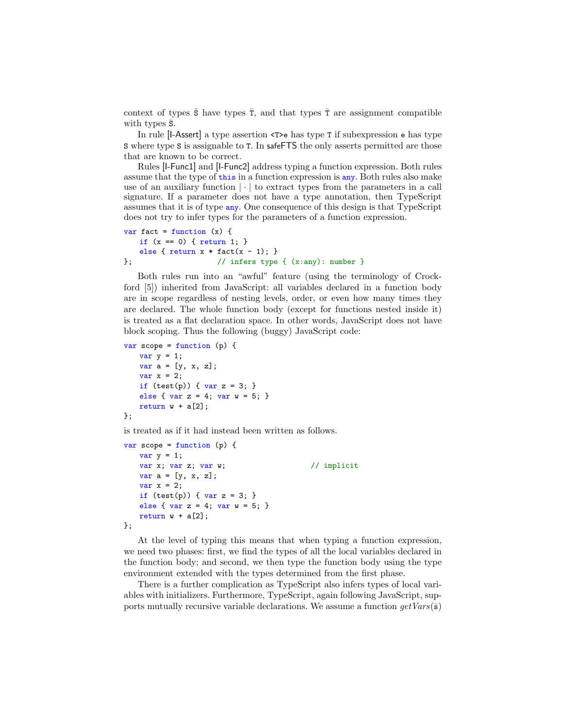context of types  $\bar{S}$  have types  $\bar{T}$ , and that types  $\bar{T}$  are assignment compatible with types  $\bar{s}$ .

In rule [I-Assert] a type assertion <T>e has type T if subexpression e has type S where type S is assignable to T. In safeFTS the only asserts permitted are those that are known to be correct.

Rules [I-Func1] and [I-Func2] address typing a function expression. Both rules assume that the type of this in a function expression is any. Both rules also make use of an auxiliary function  $|\cdot|$  to extract types from the parameters in a call signature. If a parameter does not have a type annotation, then TypeScript assumes that it is of type any. One consequence of this design is that TypeScript does not try to infer types for the parameters of a function expression.

```
var fact = function (x) {
   if (x == 0) { return 1; }
   else { return x * fact(x - 1); }
\}; \frac{1}{2} // infers type { (x:any): number }
```
Both rules run into an "awful" feature (using the terminology of Crockford [5]) inherited from JavaScript: all variables declared in a function body are in scope regardless of nesting levels, order, or even how many times they are declared. The whole function body (except for functions nested inside it) is treated as a flat declaration space. In other words, JavaScript does not have block scoping. Thus the following (buggy) JavaScript code:

```
var scope = function (p) {
   var y = 1;
   var a = [y, x, z];
   var x = 2;if (test(p)) { var z = 3; }
   else { var z = 4; var w = 5; }
   return w + a[2];
};
```
is treated as if it had instead been written as follows.

```
var scope = function (p) {
   var y = 1;
   var x; var z; var w; // implicit
   var a = [y, x, z];
   var x = 2;
   if (test(p)) { var z = 3; }
   else { var z = 4; var w = 5; }
   return w + a[2];
};
```
At the level of typing this means that when typing a function expression, we need two phases: first, we find the types of all the local variables declared in the function body; and second, we then type the function body using the type environment extended with the types determined from the first phase.

There is a further complication as TypeScript also infers types of local variables with initializers. Furthermore, TypeScript, again following JavaScript, supports mutually recursive variable declarations. We assume a function  $getVars(\bar{s})$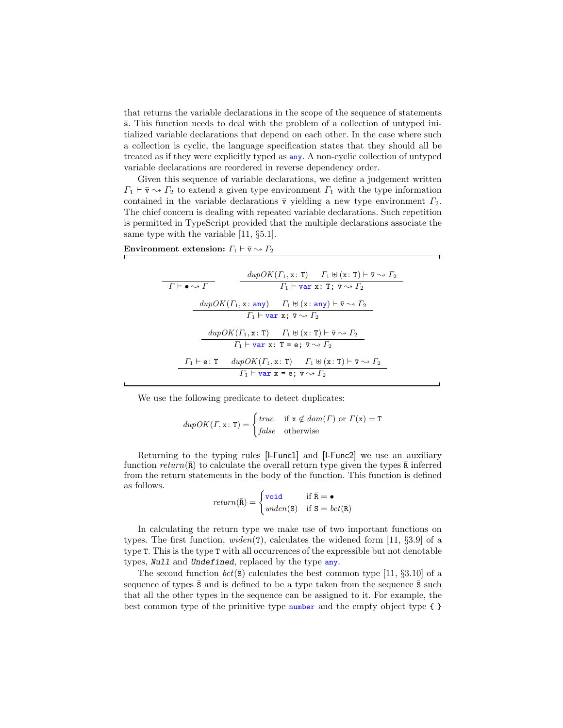that returns the variable declarations in the scope of the sequence of statements ¯s. This function needs to deal with the problem of a collection of untyped initialized variable declarations that depend on each other. In the case where such a collection is cyclic, the language specification states that they should all be treated as if they were explicitly typed as any. A non-cyclic collection of untyped variable declarations are reordered in reverse dependency order.

Given this sequence of variable declarations, we define a judgement written  $\Gamma_1 \vdash \bar{v} \leadsto \Gamma_2$  to extend a given type environment  $\Gamma_1$  with the type information contained in the variable declarations  $\bar{v}$  yielding a new type environment  $\Gamma_2$ . The chief concern is dealing with repeated variable declarations. Such repetition is permitted in TypeScript provided that the multiple declarations associate the same type with the variable [11,  $\S 5.1$ ].

Environment extension:  $\Gamma_1 \vdash \bar{v} \leadsto \Gamma_2$ 

|                                        | $dupOK(\Gamma_1, \mathbf{x} : \mathbf{T})$ $\Gamma_1 \uplus (\mathbf{x} : \mathbf{T}) \vdash \overline{\mathbf{v}} \leadsto \Gamma_2$                                                 |
|----------------------------------------|---------------------------------------------------------------------------------------------------------------------------------------------------------------------------------------|
| $\Gamma\vdash \bullet \leadsto \Gamma$ | $\Gamma_1 \vdash \texttt{var} \ x \colon T \colon \bar{\mathtt{v}} \sim \Gamma_2$                                                                                                     |
|                                        | $dupOK(\Gamma_1, \mathbf{x} : \mathbf{any})$ $\Gamma_1 \uplus (\mathbf{x} : \mathbf{any}) \vdash \overline{\mathbf{v}} \leadsto \Gamma_2$                                             |
|                                        | $\Gamma_1 \vdash \texttt{var} \mathbf{x}$ ; $\overline{\mathbf{v}} \rightsquigarrow \Gamma_2$                                                                                         |
|                                        | $dupOK(\Gamma_1, \mathbf{x} : \mathbf{T})$ $\Gamma_1 \uplus (\mathbf{x} : \mathbf{T}) \vdash \overline{\mathbf{v}} \leadsto \Gamma_2$                                                 |
|                                        | $\Gamma_1 \vdash \mathtt{var} \mathtt{x}$ : T = e; $\bar{\mathtt{v}} \rightsquigarrow \Gamma_2$                                                                                       |
|                                        | $\Gamma_1 \vdash e : \mathbf{T} \quad \text{dupOK}(\Gamma_1, \mathbf{x} : \mathbf{T}) \quad \Gamma_1 \uplus (\mathbf{x} : \mathbf{T}) \vdash \overline{\mathbf{v}} \leadsto \Gamma_2$ |
|                                        | $\Gamma_1 \vdash \texttt{var} \ x = e \colon \bar{v} \leadsto \Gamma_2$                                                                                                               |

We use the following predicate to detect duplicates:

$$
dupOK(\Gamma, x: \mathbf{T}) = \begin{cases} true & \text{if } x \notin dom(\Gamma) \text{ or } \Gamma(x) = \mathbf{T} \\ false & \text{otherwise} \end{cases}
$$

Returning to the typing rules [I-Func1] and [I-Func2] we use an auxiliary function return( $\bar{R}$ ) to calculate the overall return type given the types  $\bar{R}$  inferred from the return statements in the body of the function. This function is defined as follows.

$$
return(\bar{R}) = \begin{cases} \text{void} & \text{if } \bar{R} = \bullet \\ \text{widen}(S) & \text{if } S = \text{bct}(\bar{R}) \end{cases}
$$

In calculating the return type we make use of two important functions on types. The first function,  $widen(\mathsf{T})$ , calculates the widened form [11, §3.9] of a type T. This is the type T with all occurrences of the expressible but not denotable types, Null and Undefined, replaced by the type any.

The second function  $bct(\bar{s})$  calculates the best common type [11, §3.10] of a sequence of types  $\bar{S}$  and is defined to be a type taken from the sequence  $\bar{S}$  such that all the other types in the sequence can be assigned to it. For example, the best common type of the primitive type number and the empty object type { }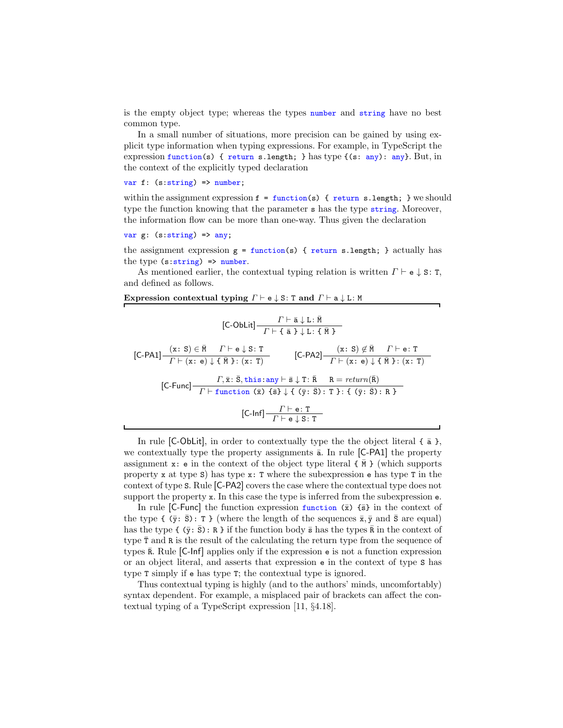is the empty object type; whereas the types number and string have no best common type.

In a small number of situations, more precision can be gained by using explicit type information when typing expressions. For example, in TypeScript the expression function(s) { return s.length; } has type {(s: any): any}. But, in the context of the explicitly typed declaration

var f: (s:string) => number;

within the assignment expression  $f = function(s)$  { return s.length; } we should type the function knowing that the parameter s has the type string. Moreover, the information flow can be more than one-way. Thus given the declaration

var  $g: (s:string) \Rightarrow any;$ 

the assignment expression  $g = function(s)$  { return s.length; } actually has the type  $(s:string) \Rightarrow number.$ 

As mentioned earlier, the contextual typing relation is written  $\Gamma \vdash e \downarrow s : \tau$ , and defined as follows.

Expression contextual typing  $\Gamma \vdash e \downarrow S$ : T and  $\Gamma \vdash a \downarrow L$ : M

$$
[C-ObLit] \frac{\Gamma \vdash \bar{a} \downarrow L : \bar{M}}{\Gamma \vdash \{ \bar{a} \} \downarrow L : \{ \bar{M} \} }
$$
\n
$$
[C-PA1] \frac{(x \colon S) \in \bar{M} \quad \Gamma \vdash e \downarrow S : T}{\Gamma \vdash (x \colon e) \downarrow \{ \bar{M} \} : (x \colon T)} \qquad [C-PA2] \frac{(x \colon S) \notin \bar{M} \quad \Gamma \vdash e : T}{\Gamma \vdash (x \colon e) \downarrow \{ \bar{M} \} : (x \colon T)}
$$
\n
$$
[C-Func] \frac{\Gamma, \bar{x} : \bar{S}, \text{this}: any \vdash \bar{s} \downarrow T : \bar{R} \quad R = return(\bar{R})}{\Gamma \vdash function (\bar{x}) \{ \bar{s} \} \downarrow \{ (\bar{y} \colon \bar{S}) : T \} : \{ (\bar{y} \colon \bar{S}) : R \} }
$$
\n
$$
[C-Inf] \frac{\Gamma \vdash e : T}{\Gamma \vdash e \downarrow S : T}
$$

In rule [C-ObLit], in order to contextually type the the object literal  $\{\bar{a}\}$ , we contextually type the property assignments  $\bar{a}$ . In rule  $[C-PA1]$  the property assignment x: e in the context of the object type literal  $\{\overline{M}\}$  (which supports property x at type S) has type x: T where the subexpression e has type T in the context of type S. Rule [C-PA2] covers the case where the contextual type does not support the property x. In this case the type is inferred from the subexpression e.

In rule [C-Func] the function expression function  $(\bar{x})$  { $\bar{s}$ } in the context of the type {  $(\bar{y}: \bar{S})$ : T } (where the length of the sequences  $\bar{x}, \bar{y}$  and  $\bar{S}$  are equal) has the type  $\{ (\bar{y} : \bar{S}) : R \}$  if the function body  $\bar{s}$  has the types  $\bar{R}$  in the context of type  $\bar{T}$  and  $R$  is the result of the calculating the return type from the sequence of types  $\bar{R}$ . Rule  $[C-Inf]$  applies only if the expression  $e$  is not a function expression or an object literal, and asserts that expression e in the context of type S has type T simply if e has type T; the contextual type is ignored.

Thus contextual typing is highly (and to the authors' minds, uncomfortably) syntax dependent. For example, a misplaced pair of brackets can affect the contextual typing of a TypeScript expression [11, §4.18].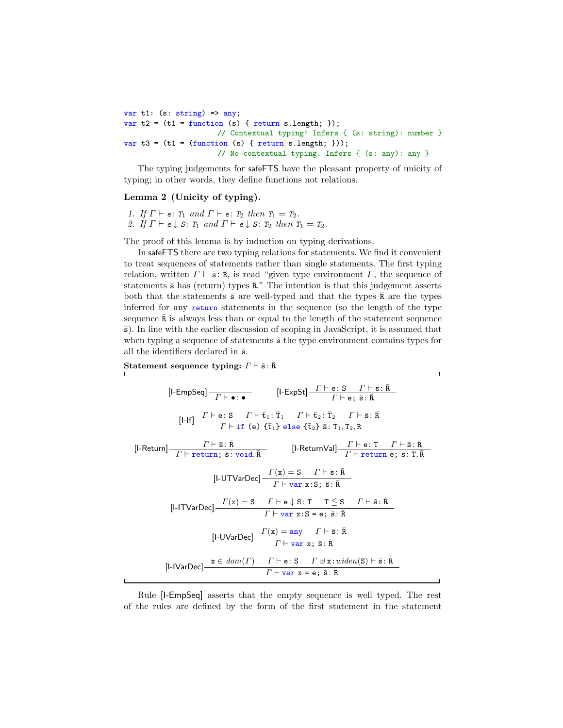```
var t1: (s: string) \Rightarrow any;var t2 = (t1 = function (s) { return s.length; };
                     // Contextual typing! Infers { (s: string): number }
var t3 = (t1 = (function (s) { return s.length; }// No contextual typing. Infers { (s: any): any }
```
The typing judgements for safeFTS have the pleasant property of unicity of typing; in other words, they define functions not relations.

# Lemma 2 (Unicity of typing).

1. If  $\Gamma \vdash e: T_1$  and  $\Gamma \vdash e: T_2$  then  $T_1 = T_2$ . 2. If  $\Gamma \vdash e \downarrow s$ :  $T_1$  and  $\Gamma \vdash e \downarrow s$ :  $T_2$  then  $T_1 = T_2$ .

The proof of this lemma is by induction on typing derivations.

In safeFTS there are two typing relations for statements. We find it convenient to treat sequences of statements rather than single statements. The first typing relation, written  $\Gamma \vdash \bar{s}: \bar{R}$ , is read "given type environment  $\Gamma$ , the sequence of statements  $\bar{s}$  has (return) types  $\bar{R}$ ." The intention is that this judgement asserts both that the statements  $\bar{s}$  are well-typed and that the types  $\bar{R}$  are the types inferred for any return statements in the sequence (so the length of the type sequence  $\bar{R}$  is always less than or equal to the length of the statement sequence ¯s). In line with the earlier discussion of scoping in JavaScript, it is assumed that when typing a sequence of statements  $\bar{s}$  the type environment contains types for all the identifiers declared in  $\bar{s}$ .

Statement sequence typing:  $\Gamma \vdash \bar{s} : \bar{R}$ 

$$
[I-EmpSeq] \t\t\t $\overline{I} \vdash \bullet : \bullet$ \t\t\t $\overline{I} \vdash e : S \t\t\t $\overline{I} \vdash e : S \t\t\t $\overline{I} \vdash e : \overline{S} : R$ \t\t\t $\overline{I} \vdash e : S \t\t\t $\overline{I} \vdash \overline{t_1} : \overline{T_1} \t\t\t $\overline{I} \vdash \overline{t_2} : \overline{T_2} \t\t\t $\overline{I} \vdash \overline{s} : \overline{R}$ \t\t\t $\overline{I} \vdash \overline{s} : \overline{R}$ \t\t\t $\overline{I} \vdash \overline{s} : \overline{R}$ \t\t\t $\overline{I} \vdash \overline{s} : \overline{R}$ \t\t\t $\overline{I} \vdash \overline{s} : \overline{R}$ \t\t\t $\overline{I} \vdash \overline{s} : \overline{R}$ \t\t\t $\overline{I} \vdash \overline{s} : \overline{R}$ \t\t\t $\overline{I} \vdash \overline{R} \vdash \overline{R}$ \t\t\t $\overline{I} \vdash \overline{R} \vdash \overline{R}$ \t\t\t $\overline{I} \vdash \overline{R}$ \t\t\t $\overline{I} \vdash \overline{R}$ \t\t\t $\overline{I} \vdash \overline{R}$ \t\t\t $\overline{I} \vdash \overline{R}$ \t\t\t $\overline{I} \vdash \overline{R}$ \t\t\t $\overline{I} \vdash \overline{R}$ \t\t\t $\overline{I} \vdash \overline{R}$ \t\t\t $\overline{I} \vdash \overline{R}$ \t\t\t $\overline{I} \vdash \overline{R}$ \t\t\t $\overline{I} \vdash \overline{R}$ \t\t\t $\overline{I} \vdash \overline{R}$ \t\t\t $\overline{I} \vdash \overline{R}$ \t\t\t $\overline{I} \vdash \overline{R}$ \t\t\t $\overline{I} \vdash \overline{R}$ \t\t\t $\overline{I} \vdash \overline{R}$$$$$$
$$

Rule [I-EmpSeq] asserts that the empty sequence is well typed. The rest of the rules are defined by the form of the first statement in the statement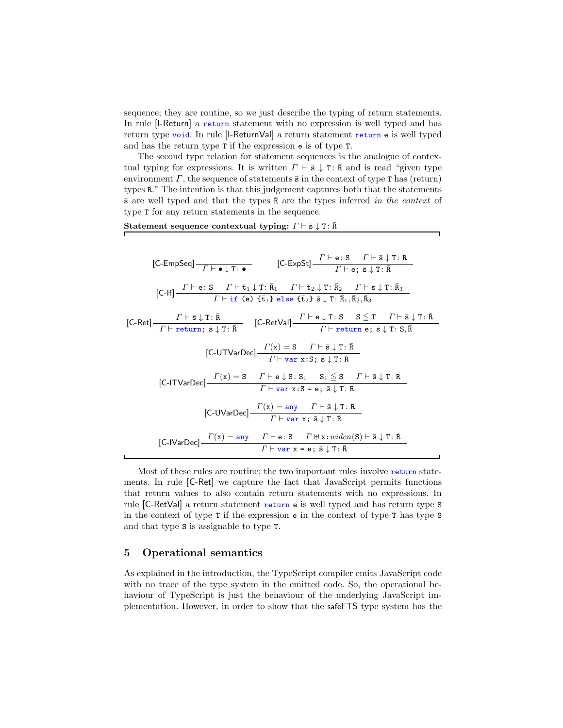sequence; they are routine, so we just describe the typing of return statements. In rule [I-Return] a return statement with no expression is well typed and has return type void. In rule [I-ReturnVal] a return statement return e is well typed and has the return type T if the expression e is of type T.

The second type relation for statement sequences is the analogue of contextual typing for expressions. It is written  $\Gamma \vdash \bar{s} \downarrow \bar{r}$ :  $\bar{R}$  and is read "given type environment  $\Gamma$ , the sequence of statements  $\bar{s}$  in the context of type T has (return) types  $\bar{\mathbf{R}}$ ." The intention is that this judgement captures both that the statements  $\bar{s}$  are well typed and that the types  $\bar{R}$  are the types inferred in the context of type T for any return statements in the sequence.

Statement sequence contextual typing:  $\Gamma \vdash \bar{s} \downarrow \bar{\Gamma} : \bar{R}$ 

 $\texttt{[C-EmpSeq]} \frac{\texttt{[C-ExpSt]}}{\texttt{[C-ExpSt]}} \frac{\texttt{[C-ExpSt]}}{\texttt{[C-ExpSt]}} \frac{\texttt{[C-ExpSt]}}{\texttt{[C-ExpSt]}} \frac{\texttt{[C-ExpSt]}}{\texttt{[C-ExpSt]}} \frac{\texttt{[C-ExpSt]}}{\texttt{[C-ExpSt]}} \frac{\texttt{[C-ExpSt]}}{\texttt{[C-ExpSt]}} \frac{\texttt{[C-ExpSt]}}{\texttt{[C-ExpSt]}} \frac{\texttt{[C-ExpSt]}}{\texttt{[C-ExpSt]}} \frac{\texttt{[C-ExpSt]}}{\texttt{[$  $\begin{array}{c} \rm \left[ C\text{-}If\right] \displaystyle \frac{\Gamma\vdash {\tt e:S}\qquad \Gamma\vdash \bar{{\tt t}}_1\downarrow \text{T:}\ \bar{{\tt R}}_1\qquad \Gamma\vdash \bar{{\tt t}}_2\downarrow \text{T:}\ \bar{{\tt R}}_2\qquad \Gamma\vdash \bar{{\tt s}}\downarrow \text{T:}\ \bar{{\tt R}}_3\, }{\Gamma\vdash \text{if}\;\left({\tt e}\right)\;\left\{\bar{{\tt t}}_1\right\}\text{ else}\;\left\{\bar{{\tt t}}_2\right\}\ \bar{{\tt s}}\downarrow \text{T:}\ \bar{{\tt R}}_1, \bar$ [C-Ret] <sup>Γ</sup> ` <sup>s</sup>¯ <sup>↓</sup> <sup>T</sup>: <sup>R</sup>¯ Γ ` return; s¯ ↓ T: R¯ [C-RetVal] <sup>Γ</sup> ` <sup>e</sup> <sup>↓</sup> <sup>T</sup>: <sup>S</sup> <sup>S</sup> <sup>5</sup> <sup>T</sup> <sup>Γ</sup> ` <sup>s</sup>¯ <sup>↓</sup> <sup>T</sup>: <sup>R</sup>¯ Γ ` return e; s¯ ↓ T: S, R¯  $\text{[C-UTVarDec]} \frac{\varGamma(x) = \text{S} \qquad \varGamma \vdash \bar{\text{s}} \downarrow \text{T} : \bar{\text{R}}}{\varGamma \vdash \text{var } \text{x} : \text{S}; \ \bar{\text{s}} \downarrow \text{T} : \bar{\text{R}}}$  $[C-ITVarDec]$   $\frac{\Gamma(x) = S \qquad \Gamma \vdash e \downarrow S \colon S_1 \qquad S_1 \leq S \qquad \Gamma \vdash \bar{s} \downarrow T \colon \bar{R}}{\Gamma \vdash var x \colon S = e; \ \bar{s} \downarrow T \colon \bar{R}}$  $\text{[C-UVarDec]} \frac{\varGamma(\mathtt{x}) = \mathtt{any} \qquad \varGamma \vdash \bar{\mathtt{s}} \downarrow \mathtt{T} \colon \bar{\mathtt{R}}}{\varGamma \vdash \mathtt{var} \mathtt{x}; \ \bar{\mathtt{s}} \downarrow \mathtt{T} \colon \bar{\mathtt{R}}}$  $[C\text{-}lVarDec] \frac{\Gamma(x) = \text{any}}{\Gamma \vdash \text{var } x = \text{e}} \cdot \frac{\Gamma \uplus x:wide(\text{B}) \vdash \bar{\mathbf{s}} \downarrow \text{T}: \bar{\mathbf{R}}}{\Gamma \vdash \text{var } x = \text{e}}$ ;  $\bar{\mathbf{s}} \downarrow \text{T}: \bar{\mathbf{R}}$ 

Most of these rules are routine; the two important rules involve return statements. In rule [C-Ret] we capture the fact that JavaScript permits functions that return values to also contain return statements with no expressions. In rule [C-RetVal] a return statement return e is well typed and has return type S in the context of type T if the expression e in the context of type T has type S and that type S is assignable to type T.

### 5 Operational semantics

As explained in the introduction, the TypeScript compiler emits JavaScript code with no trace of the type system in the emitted code. So, the operational behaviour of TypeScript is just the behaviour of the underlying JavaScript implementation. However, in order to show that the safeFTS type system has the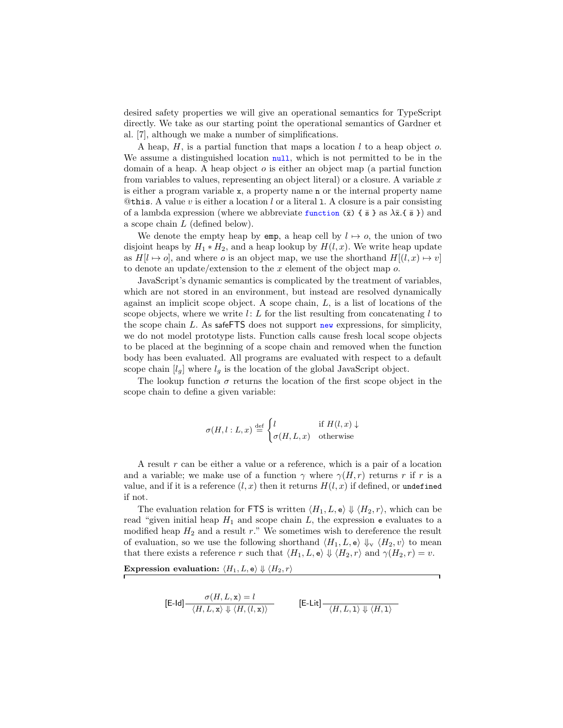desired safety properties we will give an operational semantics for TypeScript directly. We take as our starting point the operational semantics of Gardner et al. [7], although we make a number of simplifications.

A heap,  $H$ , is a partial function that maps a location  $l$  to a heap object  $o$ . We assume a distinguished location null, which is not permitted to be in the domain of a heap. A heap object  $o$  is either an object map (a partial function from variables to values, representing an object literal) or a closure. A variable  $x$ is either a program variable x, a property name n or the internal property name  $@$ this. A value v is either a location l or a literal 1. A closure is a pair consisting of a lambda expression (where we abbreviate function  $(\bar{x}) \{\bar{s}\}$  as  $\lambda \bar{x}$ .{  $\bar{s}$  }) and a scope chain L (defined below).

We denote the empty heap by emp, a heap cell by  $l \mapsto o$ , the union of two disjoint heaps by  $H_1 * H_2$ , and a heap lookup by  $H(l, x)$ . We write heap update as  $H[l \mapsto o]$ , and where o is an object map, we use the shorthand  $H[(l, x) \mapsto v]$ to denote an update/extension to the  $x$  element of the object map  $o$ .

JavaScript's dynamic semantics is complicated by the treatment of variables, which are not stored in an environment, but instead are resolved dynamically against an implicit scope object. A scope chain,  $L$ , is a list of locations of the scope objects, where we write  $l: L$  for the list resulting from concatenating  $l$  to the scope chain  $L$ . As safe  $\text{FTS}$  does not support new expressions, for simplicity, we do not model prototype lists. Function calls cause fresh local scope objects to be placed at the beginning of a scope chain and removed when the function body has been evaluated. All programs are evaluated with respect to a default scope chain  $[l_q]$  where  $l_q$  is the location of the global JavaScript object.

The lookup function  $\sigma$  returns the location of the first scope object in the scope chain to define a given variable:

$$
\sigma(H, l: L, x) \stackrel{\text{def}}{=} \begin{cases} l & \text{if } H(l, x) \downarrow \\ \sigma(H, L, x) & \text{otherwise} \end{cases}
$$

A result  $r$  can be either a value or a reference, which is a pair of a location and a variable; we make use of a function  $\gamma$  where  $\gamma(H, r)$  returns r if r is a value, and if it is a reference  $(l, x)$  then it returns  $H(l, x)$  if defined, or undefined if not.

The evaluation relation for FTS is written  $\langle H_1, L, e \rangle \Downarrow \langle H_2, r \rangle$ , which can be read "given initial heap  $H_1$  and scope chain  $L$ , the expression e evaluates to a modified heap  $H_2$  and a result r." We sometimes wish to dereference the result of evaluation, so we use the following shorthand  $\langle H_1, L, e \rangle \Downarrow_V \langle H_2, v \rangle$  to mean that there exists a reference r such that  $\langle H_1, L, \mathbf{e} \rangle \Downarrow \langle H_2, r \rangle$  and  $\gamma(H_2, r) = v$ .

Expression evaluation:  $\langle H_1, L, e \rangle \Downarrow \langle H_2, r \rangle$ 

$$
[\mathsf{E}\text{-}\mathsf{Id}] \frac{\sigma(H, L, \mathbf{x}) = l}{\langle H, L, \mathbf{x} \rangle \Downarrow \langle H, (l, \mathbf{x}) \rangle} \qquad \qquad [\mathsf{E}\text{-}\mathsf{Lit}] \frac{\langle H, L, 1 \rangle \Downarrow \langle H, 1 \rangle}{\langle H, L, 1 \rangle \Downarrow \langle H, 1 \rangle}
$$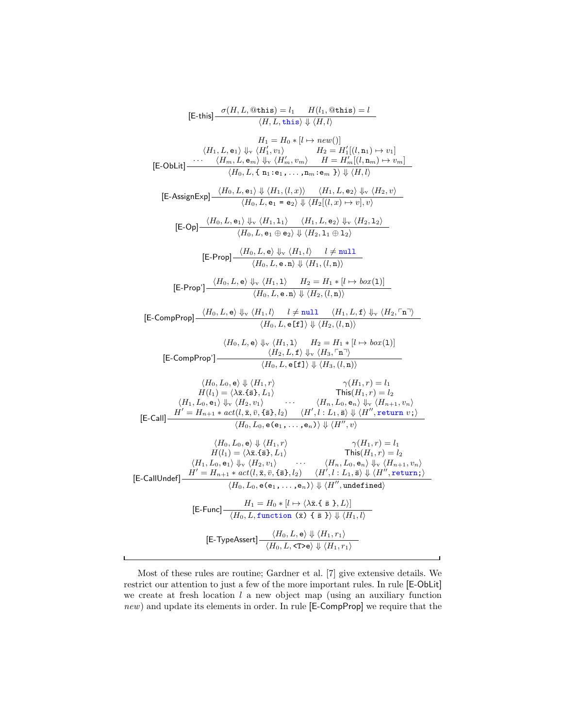[E-this] 
$$
\frac{\sigma(H, L, @this) = l_1 H(l_1, @this) = l}{(H, L, this) \psi(H, l)}
$$
  
\n $H_1 = H_0 * [l \rightarrow new0]$   
\n $(H_1, L, e_1) \psi_r(H'_1, v_1) H_2 = H'_1[(l, n_1) \rightarrow v_1]$   
\n[E-Obl.it]  $\frac{(H_m, L, e_m) \psi_r(H'_m, v_m) H = H'_m[(l, n_m) \rightarrow v_m]}{(H_0, L, \{n_1 : e_1, ..., n_m : e_m \}) \psi(H, l)}$   
\n[E-AssignExp]  $\frac{\langle H_0, L, e_1 \rangle \psi_r(H_1, (l, x)) - \langle H_1, L, e_2 \rangle \psi_r(H_2, v)}{\langle H_0, L, e_1 = e_2 \} \psi\langle H_2[(l, x) \rightarrow v], v \rangle)}$   
\n[E-Op]  $\frac{\langle H_0, L, e_1 \rangle \psi_r(H_1, 1_1) - \langle H_1, L, e_2 \rangle \psi_r(H_2, 1_2) - \langle H_0, L, e_1 \rangle \psi_r(H_1, 1_1) - \langle H_0, L, e_1 \rangle \psi_r(H_2, 1_1 \oplus 1_2) \rangle}{\langle H_0, L, e_1 \oplus e_2 \} \psi\langle H_2, 1_1 \oplus 1_2 \rangle}$   
\n[E-Prop]  $\frac{\langle H_0, L, e \rangle \psi_r(H_1, 1) - H_2 = H_1 * [l \rightarrow box(1)]}{\langle H_0, L, e, n \rangle \psi_r(H_1, 1) - H_2 = H_1 * [l \rightarrow box(1)]}$   
\n[E-Comprop]  $\frac{\langle H_0, L, e \rangle \psi_r(H_1, l)}{\langle H_0, L, e, n \rangle \psi(H_1, 1, \{H_1, L, f \rangle \psi_r(H_2, \{n_n\})}$   
\n[E-CompProp]  $\frac{\langle H_0, L, e \rangle \psi_r(H_1, l)}{\langle H_0, L, e, f \rbrace \psi_r(H_2, (l, n))}$   
\n[E-CompProp]  $\frac{\langle H_0, L, e \rangle \psi_r(H_1, l)}{\langle H_0, L, e, f \rbrace \psi_r(H_2, (l,$ 

Most of these rules are routine; Gardner et al. [7] give extensive details. We restrict our attention to just a few of the more important rules. In rule [E-ObLit] we create at fresh location  $l$  a new object map (using an auxiliary function new) and update its elements in order. In rule [E-CompProp] we require that the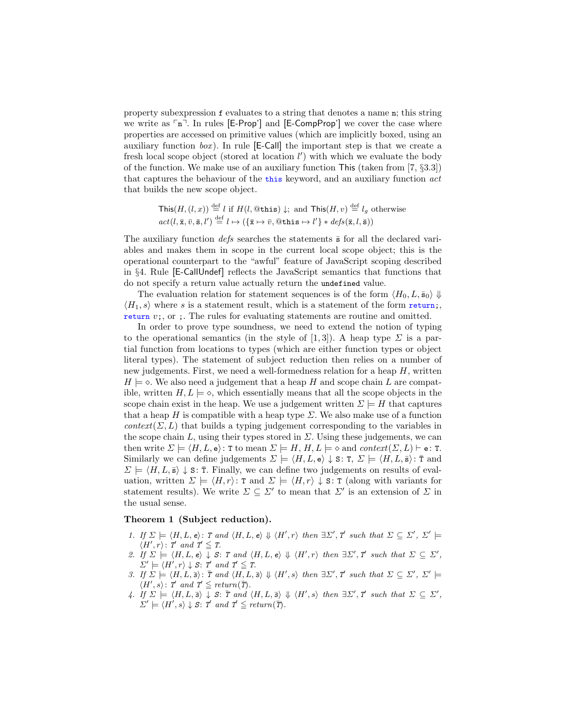property subexpression f evaluates to a string that denotes a name n; this string we write as  $\lceil n \rceil$ . In rules  $\lceil \mathsf{E\text{-}Prop'} \rceil$  and  $\lceil \mathsf{E\text{-}CompProp'} \rceil$  we cover the case where properties are accessed on primitive values (which are implicitly boxed, using an auxiliary function  $box$ ). In rule  $[E\text{-Call}]$  the important step is that we create a fresh local scope object (stored at location  $l'$ ) with which we evaluate the body of the function. We make use of an auxiliary function This (taken from [7, §3.3]) that captures the behaviour of the this keyword, and an auxiliary function act that builds the new scope object.

This
$$
(H, (l, x)) \stackrel{\text{def}}{=} l
$$
 if  $H(l, @$  **this** $) \downarrow$ ; and **This** $(H, v) \stackrel{\text{def}}{=} l_g$  otherwise  
 $act(l, \bar{x}, \bar{v}, \bar{s}, l') \stackrel{\text{def}}{=} l \mapsto (\{\bar{x} \mapsto \bar{v}, @$  **this** $\mapsto l' \} * defs(\bar{x}, l, \bar{s}))$ 

The auxiliary function *defs* searches the statements  $\bar{s}$  for all the declared variables and makes them in scope in the current local scope object; this is the operational counterpart to the "awful" feature of JavaScript scoping described in §4. Rule [E-CallUndef] reflects the JavaScript semantics that functions that do not specify a return value actually return the undefined value.

The evaluation relation for statement sequences is of the form  $\langle H_0, L, \bar{s}_0 \rangle \Downarrow$  $\langle H_1, s \rangle$  where s is a statement result, which is a statement of the form return; return  $v$ ;, or ;. The rules for evaluating statements are routine and omitted.

In order to prove type soundness, we need to extend the notion of typing to the operational semantics (in the style of [1,3]). A heap type  $\Sigma$  is a partial function from locations to types (which are either function types or object literal types). The statement of subject reduction then relies on a number of new judgements. First, we need a well-formedness relation for a heap  $H$ , written  $H \models \diamond$ . We also need a judgement that a heap H and scope chain L are compatible, written  $H, L \models \diamond$ , which essentially means that all the scope objects in the scope chain exist in the heap. We use a judgement written  $\Sigma \models H$  that captures that a heap H is compatible with a heap type  $\Sigma$ . We also make use of a function  $context(\Sigma, L)$  that builds a typing judgement corresponding to the variables in the scope chain L, using their types stored in  $\Sigma$ . Using these judgements, we can then write  $\Sigma \models \langle H, L, \mathsf{e} \rangle$ : T to mean  $\Sigma \models H, H, L \models \diamond$  and context $(\Sigma, L) \vdash \mathsf{e}$ : T. Similarly we can define judgements  $\Sigma \models \langle H, L, e \rangle \downarrow s: \tau, \Sigma \models \langle H, L, \overline{s} \rangle$ :  $\overline{\tau}$  and  $\Sigma \models \langle H, L, \overline{s} \rangle \downarrow$  S:  $\overline{\mathbf{r}}$ . Finally, we can define two judgements on results of evaluation, written  $\Sigma \models \langle H, r \rangle$ : T and  $\Sigma \models \langle H, r \rangle \downarrow$  S: T (along with variants for statement results). We write  $\Sigma \subseteq \Sigma'$  to mean that  $\Sigma'$  is an extension of  $\Sigma$  in the usual sense.

#### Theorem 1 (Subject reduction).

- 1. If  $\Sigma \models \langle H, L, e \rangle$ : T and  $\langle H, L, e \rangle \Downarrow \langle H', r \rangle$  then  $\exists \Sigma', T$  such that  $\Sigma \subseteq \Sigma', \Sigma' \models$  $\langle H', r \rangle$ : T' and  $T' \leq T$ .
- 2. If  $\Sigma \models \langle H, L, e \rangle \downarrow S$ : T and  $\langle H, L, e \rangle \Downarrow \langle H', r \rangle$  then  $\exists \Sigma', T$  such that  $\Sigma \subseteq \Sigma'$ ,  $\Sigma' \models \langle H', r \rangle \downarrow S$ : T' and  $T' \leq T$ .
- 3. If  $\Sigma \models \langle H, L, \overline{s} \rangle$ :  $\overline{T}$  and  $\langle H, L, \overline{s} \rangle \Downarrow \langle H', s \rangle$  then  $\exists \Sigma', T'$  such that  $\Sigma \subseteq \Sigma', \Sigma' \models$  $\langle H', s \rangle$ : T' and  $T' \leq return(\overline{T})$ .
- 4. If  $\Sigma \models \langle H, L, \overline{s} \rangle \downarrow S: \overline{T}$  and  $\langle H, L, \overline{s} \rangle \Downarrow \langle H', s \rangle$  then  $\exists \Sigma', T'$  such that  $\Sigma \subseteq \Sigma'$ ,  $\Sigma' \models \langle H', s \rangle \downarrow S$ : T' and  $T' \leq return(\overline{T})$ .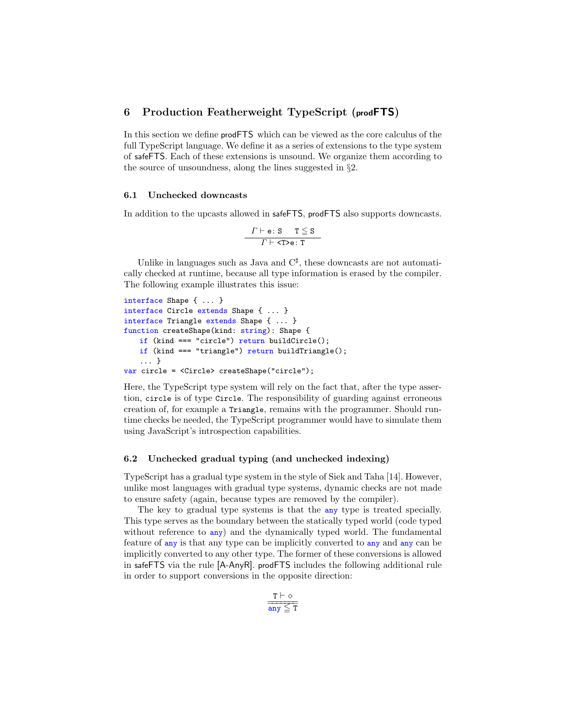# 6 Production Featherweight TypeScript (prodFTS)

In this section we define prodFTS which can be viewed as the core calculus of the full TypeScript language. We define it as a series of extensions to the type system of safeFTS. Each of these extensions is unsound. We organize them according to the source of unsoundness, along the lines suggested in §2.

### 6.1 Unchecked downcasts

In addition to the upcasts allowed in safeFTS, prodFTS also supports downcasts.

$$
\frac{\Gamma \vdash \mathsf{e} \colon \mathsf{S} \qquad \mathsf{T} \leqq \mathsf{S}}{\Gamma \vdash \mathsf{<} \mathsf{T} \mathsf{>} \mathsf{e} \colon \mathsf{T}}
$$

Unlike in languages such as Java and  $C^{\sharp}$ , these downcasts are not automatically checked at runtime, because all type information is erased by the compiler. The following example illustrates this issue:

```
interface Shape { ... }
interface Circle extends Shape { ... }
interface Triangle extends Shape { ... }
function createShape(kind: string): Shape {
   if (kind === "circle") return buildCircle();
   if (kind === "triangle") return buildTriangle();
   ... }
var circle = <Circle> createShape("circle");
```
Here, the TypeScript type system will rely on the fact that, after the type assertion, circle is of type Circle. The responsibility of guarding against erroneous creation of, for example a Triangle, remains with the programmer. Should runtime checks be needed, the TypeScript programmer would have to simulate them using JavaScript's introspection capabilities.

#### 6.2 Unchecked gradual typing (and unchecked indexing)

TypeScript has a gradual type system in the style of Siek and Taha [14]. However, unlike most languages with gradual type systems, dynamic checks are not made to ensure safety (again, because types are removed by the compiler).

The key to gradual type systems is that the any type is treated specially. This type serves as the boundary between the statically typed world (code typed without reference to any) and the dynamically typed world. The fundamental feature of any is that any type can be implicitly converted to any and any can be implicitly converted to any other type. The former of these conversions is allowed in safeFTS via the rule [A-AnyR]. prodFTS includes the following additional rule in order to support conversions in the opposite direction:

$$
\frac{T \vdash \diamond}{\text{any} \leqq T}
$$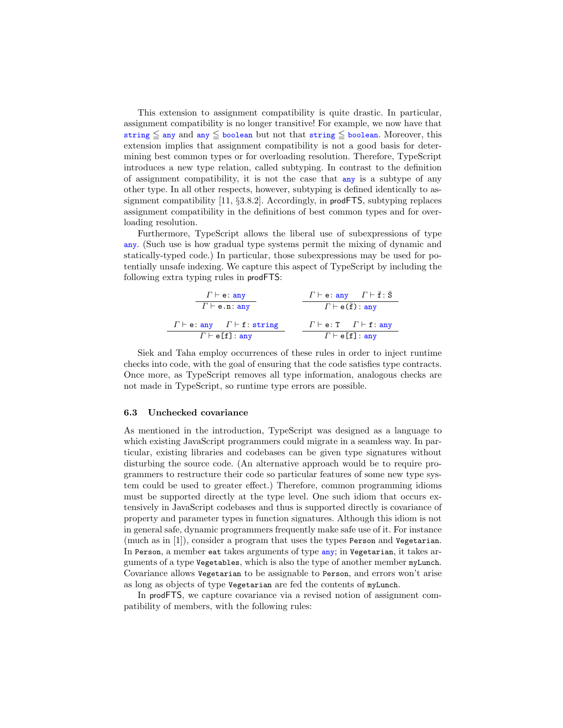This extension to assignment compatibility is quite drastic. In particular, assignment compatibility is no longer transitive! For example, we now have that string  $\leq$  any and any  $\leq$  boolean but not that string  $\leq$  boolean. Moreover, this extension implies that assignment compatibility is not a good basis for determining best common types or for overloading resolution. Therefore, TypeScript introduces a new type relation, called subtyping. In contrast to the definition of assignment compatibility, it is not the case that any is a subtype of any other type. In all other respects, however, subtyping is defined identically to assignment compatibility [11, §3.8.2]. Accordingly, in prodFTS, subtyping replaces assignment compatibility in the definitions of best common types and for overloading resolution.

Furthermore, TypeScript allows the liberal use of subexpressions of type any. (Such use is how gradual type systems permit the mixing of dynamic and statically-typed code.) In particular, those subexpressions may be used for potentially unsafe indexing. We capture this aspect of TypeScript by including the following extra typing rules in prodFTS:

| $\Gamma \vdash e : \texttt{any}$                   | $\Gamma \vdash e: any \quad \Gamma \vdash f: S$   |  |  |
|----------------------------------------------------|---------------------------------------------------|--|--|
| $\Gamma \vdash e.n:$ any                           | $\Gamma \vdash e(\bar{\mathbf{f}})$ : any         |  |  |
| $\Gamma \vdash e$ : any $\Gamma \vdash f$ : string | $\Gamma \vdash e : T \quad \Gamma \vdash f : any$ |  |  |
| $\Gamma \vdash e[f]$ : any                         | $\Gamma \vdash e[f]$ : any                        |  |  |

Siek and Taha employ occurrences of these rules in order to inject runtime checks into code, with the goal of ensuring that the code satisfies type contracts. Once more, as TypeScript removes all type information, analogous checks are not made in TypeScript, so runtime type errors are possible.

#### 6.3 Unchecked covariance

As mentioned in the introduction, TypeScript was designed as a language to which existing JavaScript programmers could migrate in a seamless way. In particular, existing libraries and codebases can be given type signatures without disturbing the source code. (An alternative approach would be to require programmers to restructure their code so particular features of some new type system could be used to greater effect.) Therefore, common programming idioms must be supported directly at the type level. One such idiom that occurs extensively in JavaScript codebases and thus is supported directly is covariance of property and parameter types in function signatures. Although this idiom is not in general safe, dynamic programmers frequently make safe use of it. For instance (much as in [1]), consider a program that uses the types Person and Vegetarian. In Person, a member eat takes arguments of type any; in Vegetarian, it takes arguments of a type Vegetables, which is also the type of another member myLunch. Covariance allows Vegetarian to be assignable to Person, and errors won't arise as long as objects of type Vegetarian are fed the contents of myLunch.

In prodFTS, we capture covariance via a revised notion of assignment compatibility of members, with the following rules: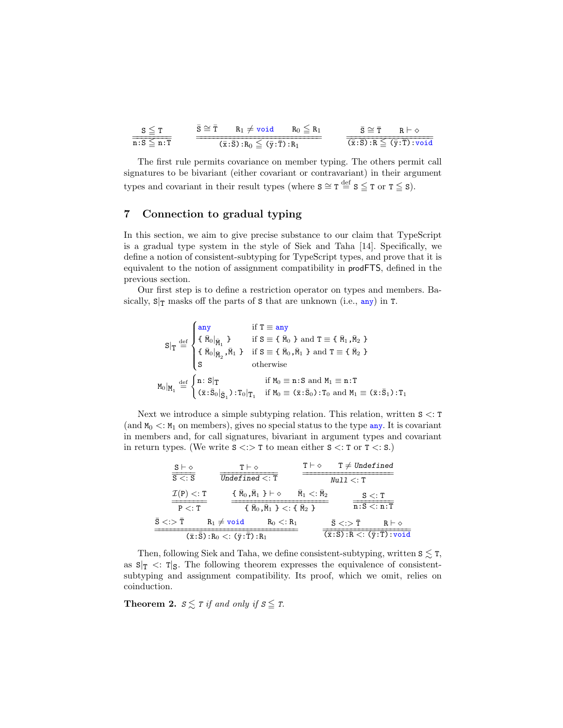$$
\cfrac{S \leq T}{n:S \leq n:T} \qquad \cfrac{\bar{S} \cong \bar{T} \qquad R_1 \neq \text{void} \qquad R_0 \leq R_1}{(\bar{x}:\bar{S}): R_0 \leq (\bar{y}:\bar{T}): R_1} \qquad \cfrac{\bar{S} \cong \bar{T} \qquad R \vdash \diamond}{(\bar{x}:\bar{S}): R \leq (\bar{y}:\bar{T}): \text{void}}
$$

The first rule permits covariance on member typing. The others permit call signatures to be bivariant (either covariant or contravariant) in their argument types and covariant in their result types (where  $s \approx r \stackrel{\text{def}}{=} s \leq r$  or  $r \leq s$ ).

# 7 Connection to gradual typing

In this section, we aim to give precise substance to our claim that TypeScript is a gradual type system in the style of Siek and Taha [14]. Specifically, we define a notion of consistent-subtyping for TypeScript types, and prove that it is equivalent to the notion of assignment compatibility in prodFTS, defined in the previous section.

Our first step is to define a restriction operator on types and members. Basically,  $s|_T$  masks off the parts of S that are unknown (i.e., any) in T.

$$
S|_T \stackrel{\text{def}}{=} \begin{cases} \mathbf{any} & \text{if } T \equiv \mathbf{any} \\ \{ \begin{array}{ll} \bar{M}_0|_{\bar{M}_1} \end{array} \} & \text{if } S \equiv \{ \begin{array}{ll} \bar{M}_0 \end{array} \} \text{ and } T \equiv \{ \begin{array}{ll} \bar{M}_1 \,, \bar{M}_2 \end{array} \} \\ \{ \begin{array}{ll} \{ \begin{array}{ll} \bar{M}_0|_{\bar{M}_2} \,, \bar{M}_1 \end{array} \} & \text{if } S \equiv \{ \begin{array}{ll} \bar{M}_0 \,, \bar{M}_1 \end{array} \} \text{ and } T \equiv \{ \begin{array}{ll} \bar{M}_2 \end{array} \} \\ S & \text{otherwise} \end{cases} \\ M_0|_{M_1} \stackrel{\text{def}}{=} \begin{cases} \mathbf{n}: S|_T & \text{if } M_0 \equiv \mathbf{n}: S \text{ and } M_1 \equiv \mathbf{n}: T \\ (\bar{\mathbf{x}}: \bar{S}_0|_{\bar{S}_1}): T_0|_{T_1} & \text{if } M_0 \equiv (\bar{\mathbf{x}}: \bar{S}_0): T_0 \text{ and } M_1 \equiv (\bar{\mathbf{x}}: \bar{S}_1): T_1 \end{cases}
$$

Next we introduce a simple subtyping relation. This relation, written  $s \lt: \tau$ (and  $M_0 \ll M_1$  on members), gives no special status to the type any. It is covariant in members and, for call signatures, bivariant in argument types and covariant in return types. (We write  $s \ll 0$  are  $\theta$  in return types. (We write  $s \ll 0$  are  $s \ll 0$  are  $s \ll 0$  are  $s \ll 0$  are  $s \ll 0$  and  $s \ll 0$  are  $s \ll 0$  are  $s \ll 0$  are  $s \ll 0$  and  $s \ll 0$  are  $s \ll 0$  and  $s \ll 0$  are  $s \ll 0$ 

| $S \vdash \diamond$              | $T \vdash \diamond$                                      |                                              | $T \vdash \diamond$  | $\mathtt{T}\neq \mathtt{Undefined}$ |                                             |
|----------------------------------|----------------------------------------------------------|----------------------------------------------|----------------------|-------------------------------------|---------------------------------------------|
| $\overline{\overline{s} \leq S}$ | Undefined $\lt$ : T                                      |                                              |                      | Null <: T                           |                                             |
| $\mathcal{I}(P) <: T$            |                                                          | $\{ \bar{M}_0, \bar{M}_1 \} \vdash \diamond$ | $\bar{M}_1 \lt: M_2$ |                                     | $S \lt: T$                                  |
| $P \leq T$                       |                                                          | $\{\bar{M}_0, \bar{M}_1\} <: \{\bar{M}_2\}$  |                      |                                     | $n: S \lt:: n:T$                            |
| $\bar{\rm S}$ <:> $\bar{\rm T}$  | $R_1 \neq \texttt{void}$                                 | $R_0 \leq R_1$                               |                      | $\bar{S}$ <:> $\bar{T}$             | $R \vdash \diamond$                         |
|                                  | $(\bar{x} : \bar{S}) : R_0 <: (\bar{y} : \bar{T}) : R_1$ |                                              |                      |                                     | $(\overline{x}:S):R<:(\overline{y}:T):void$ |

Then, following Siek and Taha, we define consistent-subtyping, written  $s \lesssim \tau$ , as  $s|_{T}$  <:  $T|_{S}$ . The following theorem expresses the equivalence of consistentsubtyping and assignment compatibility. Its proof, which we omit, relies on coinduction.

**Theorem 2.**  $s \leq r$  if and only if  $s \leq r$ .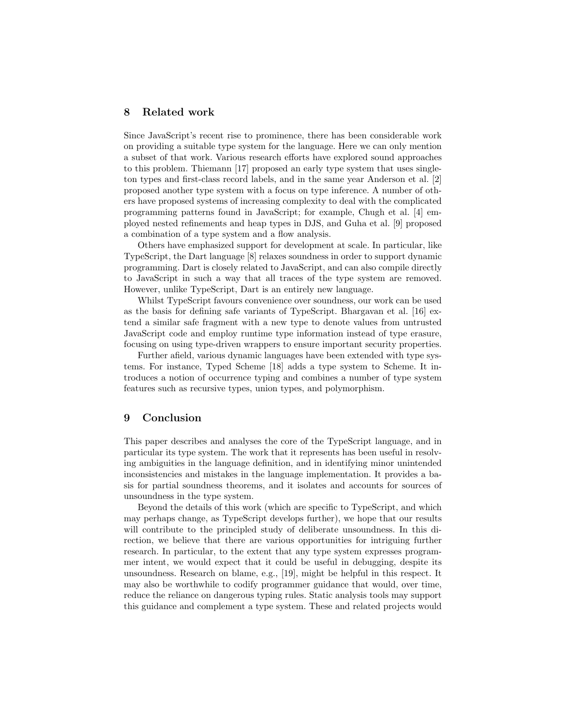# 8 Related work

Since JavaScript's recent rise to prominence, there has been considerable work on providing a suitable type system for the language. Here we can only mention a subset of that work. Various research efforts have explored sound approaches to this problem. Thiemann [17] proposed an early type system that uses singleton types and first-class record labels, and in the same year Anderson et al. [2] proposed another type system with a focus on type inference. A number of others have proposed systems of increasing complexity to deal with the complicated programming patterns found in JavaScript; for example, Chugh et al. [4] employed nested refinements and heap types in DJS, and Guha et al. [9] proposed a combination of a type system and a flow analysis.

Others have emphasized support for development at scale. In particular, like TypeScript, the Dart language [8] relaxes soundness in order to support dynamic programming. Dart is closely related to JavaScript, and can also compile directly to JavaScript in such a way that all traces of the type system are removed. However, unlike TypeScript, Dart is an entirely new language.

Whilst TypeScript favours convenience over soundness, our work can be used as the basis for defining safe variants of TypeScript. Bhargavan et al. [16] extend a similar safe fragment with a new type to denote values from untrusted JavaScript code and employ runtime type information instead of type erasure, focusing on using type-driven wrappers to ensure important security properties.

Further afield, various dynamic languages have been extended with type systems. For instance, Typed Scheme [18] adds a type system to Scheme. It introduces a notion of occurrence typing and combines a number of type system features such as recursive types, union types, and polymorphism.

### 9 Conclusion

This paper describes and analyses the core of the TypeScript language, and in particular its type system. The work that it represents has been useful in resolving ambiguities in the language definition, and in identifying minor unintended inconsistencies and mistakes in the language implementation. It provides a basis for partial soundness theorems, and it isolates and accounts for sources of unsoundness in the type system.

Beyond the details of this work (which are specific to TypeScript, and which may perhaps change, as TypeScript develops further), we hope that our results will contribute to the principled study of deliberate unsoundness. In this direction, we believe that there are various opportunities for intriguing further research. In particular, to the extent that any type system expresses programmer intent, we would expect that it could be useful in debugging, despite its unsoundness. Research on blame, e.g., [19], might be helpful in this respect. It may also be worthwhile to codify programmer guidance that would, over time, reduce the reliance on dangerous typing rules. Static analysis tools may support this guidance and complement a type system. These and related projects would